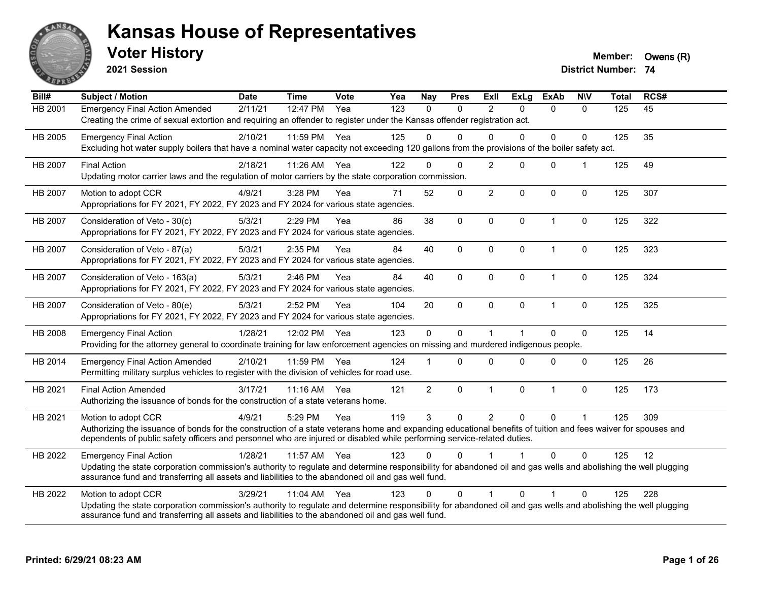

**2021 Session**

**Voter History Member: Owens (R)** 

| Bill#          | Subject / Motion                                                                                                                                                                                                                                                                                                | <b>Date</b> | <b>Time</b> | <b>Vote</b> | Yea | <b>Nay</b>     | <b>Pres</b>  | <b>Exll</b>    | <b>ExLg</b> | <b>ExAb</b>    | <b>NIV</b>   | <b>Total</b> | RCS# |
|----------------|-----------------------------------------------------------------------------------------------------------------------------------------------------------------------------------------------------------------------------------------------------------------------------------------------------------------|-------------|-------------|-------------|-----|----------------|--------------|----------------|-------------|----------------|--------------|--------------|------|
| <b>HB 2001</b> | <b>Emergency Final Action Amended</b><br>Creating the crime of sexual extortion and requiring an offender to register under the Kansas offender registration act.                                                                                                                                               | 2/11/21     | 12:47 PM    | Yea         | 123 | $\Omega$       | $\mathbf{0}$ | $\overline{2}$ | $\Omega$    | $\Omega$       | $\Omega$     | 125          | 45   |
| HB 2005        | <b>Emergency Final Action</b><br>Excluding hot water supply boilers that have a nominal water capacity not exceeding 120 gallons from the provisions of the boiler safety act.                                                                                                                                  | 2/10/21     | 11:59 PM    | Yea         | 125 | $\Omega$       | $\Omega$     | $\Omega$       | $\Omega$    | $\Omega$       | $\mathbf{0}$ | 125          | 35   |
| HB 2007        | <b>Final Action</b><br>Updating motor carrier laws and the regulation of motor carriers by the state corporation commission.                                                                                                                                                                                    | 2/18/21     | 11:26 AM    | Yea         | 122 | $\Omega$       | $\Omega$     | $\overline{2}$ | $\Omega$    | $\mathbf{0}$   | 1            | 125          | 49   |
| <b>HB 2007</b> | Motion to adopt CCR<br>Appropriations for FY 2021, FY 2022, FY 2023 and FY 2024 for various state agencies.                                                                                                                                                                                                     | 4/9/21      | 3:28 PM     | Yea         | 71  | 52             | 0            | $\overline{2}$ | $\Omega$    | $\mathbf{0}$   | $\mathbf{0}$ | 125          | 307  |
| HB 2007        | Consideration of Veto - 30(c)<br>Appropriations for FY 2021, FY 2022, FY 2023 and FY 2024 for various state agencies.                                                                                                                                                                                           | 5/3/21      | 2:29 PM     | Yea         | 86  | 38             | $\mathbf 0$  | $\mathbf 0$    | $\mathbf 0$ | $\overline{1}$ | $\mathbf 0$  | 125          | 322  |
| HB 2007        | Consideration of Veto - 87(a)<br>Appropriations for FY 2021, FY 2022, FY 2023 and FY 2024 for various state agencies.                                                                                                                                                                                           | 5/3/21      | 2:35 PM     | Yea         | 84  | 40             | $\mathbf 0$  | $\mathbf 0$    | $\mathbf 0$ | $\overline{1}$ | 0            | 125          | 323  |
| HB 2007        | Consideration of Veto - 163(a)<br>Appropriations for FY 2021, FY 2022, FY 2023 and FY 2024 for various state agencies.                                                                                                                                                                                          | 5/3/21      | 2:46 PM     | Yea         | 84  | 40             | 0            | $\mathbf 0$    | $\mathbf 0$ | $\mathbf{1}$   | $\mathbf 0$  | 125          | 324  |
| HB 2007        | Consideration of Veto - 80(e)<br>Appropriations for FY 2021, FY 2022, FY 2023 and FY 2024 for various state agencies.                                                                                                                                                                                           | 5/3/21      | 2:52 PM     | Yea         | 104 | 20             | $\mathbf 0$  | $\mathbf 0$    | 0           | $\mathbf{1}$   | 0            | 125          | 325  |
| HB 2008        | <b>Emergency Final Action</b><br>Providing for the attorney general to coordinate training for law enforcement agencies on missing and murdered indigenous people.                                                                                                                                              | 1/28/21     | 12:02 PM    | Yea         | 123 | $\mathbf 0$    | $\mathbf 0$  | 1              |             | $\Omega$       | $\mathbf 0$  | 125          | 14   |
| HB 2014        | <b>Emergency Final Action Amended</b><br>Permitting military surplus vehicles to register with the division of vehicles for road use.                                                                                                                                                                           | 2/10/21     | 11:59 PM    | Yea         | 124 |                | 0            | $\Omega$       | $\Omega$    | $\mathbf 0$    | $\mathbf{0}$ | 125          | 26   |
| HB 2021        | <b>Final Action Amended</b><br>Authorizing the issuance of bonds for the construction of a state veterans home.                                                                                                                                                                                                 | 3/17/21     | 11:16 AM    | Yea         | 121 | $\overline{2}$ | $\mathbf 0$  | $\mathbf{1}$   | 0           | $\overline{1}$ | $\mathbf 0$  | 125          | 173  |
| HB 2021        | Motion to adopt CCR<br>Authorizing the issuance of bonds for the construction of a state veterans home and expanding educational benefits of tuition and fees waiver for spouses and<br>dependents of public safety officers and personnel who are injured or disabled while performing service-related duties. | 4/9/21      | 5:29 PM     | Yea         | 119 | $\mathbf{3}$   | $\mathbf 0$  | $\overline{2}$ | $\mathbf 0$ | $\mathbf 0$    | $\mathbf{1}$ | 125          | 309  |
| HB 2022        | <b>Emergency Final Action</b><br>Updating the state corporation commission's authority to regulate and determine responsibility for abandoned oil and gas wells and abolishing the well plugging<br>assurance fund and transferring all assets and liabilities to the abandoned oil and gas well fund.          | 1/28/21     | 11:57 AM    | Yea         | 123 | $\Omega$       | $\Omega$     |                |             | $\Omega$       | $\Omega$     | 125          | 12   |
| HB 2022        | Motion to adopt CCR<br>Updating the state corporation commission's authority to regulate and determine responsibility for abandoned oil and gas wells and abolishing the well plugging<br>assurance fund and transferring all assets and liabilities to the abandoned oil and gas well fund.                    | 3/29/21     | 11:04 AM    | Yea         | 123 | $\Omega$       | $\Omega$     |                | $\Omega$    | 1              | $\mathbf{0}$ | 125          | 228  |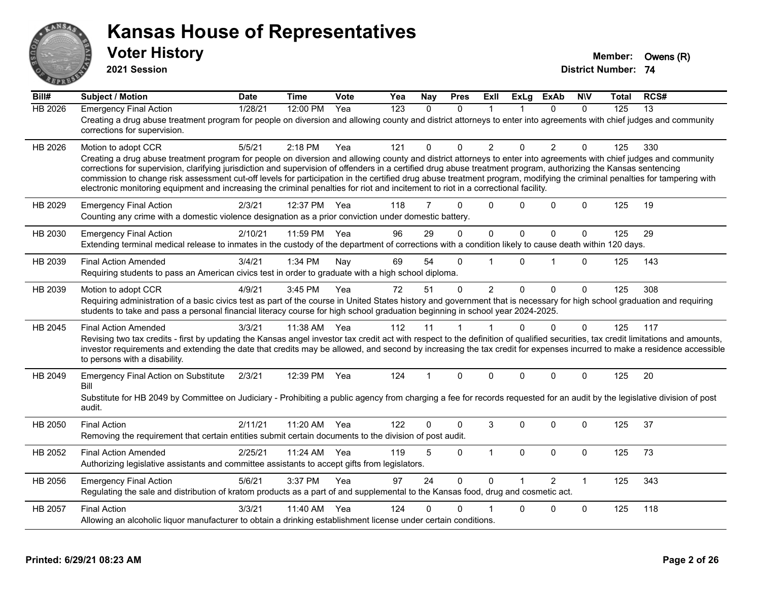

**2021 Session**

| Bill#          | <b>Subject / Motion</b>                                                                                                                                                                                                                                                                                                                                                                                                                                                                                                                                                                                                                                                         | <b>Date</b> | <b>Time</b> | Vote | Yea              | Nay          | <b>Pres</b>  | ExII           | <b>ExLg</b>  | <b>ExAb</b>    | <b>NIV</b>   | Total | RCS# |
|----------------|---------------------------------------------------------------------------------------------------------------------------------------------------------------------------------------------------------------------------------------------------------------------------------------------------------------------------------------------------------------------------------------------------------------------------------------------------------------------------------------------------------------------------------------------------------------------------------------------------------------------------------------------------------------------------------|-------------|-------------|------|------------------|--------------|--------------|----------------|--------------|----------------|--------------|-------|------|
| <b>HB 2026</b> | <b>Emergency Final Action</b><br>Creating a drug abuse treatment program for people on diversion and allowing county and district attorneys to enter into agreements with chief judges and community<br>corrections for supervision.                                                                                                                                                                                                                                                                                                                                                                                                                                            | 1/28/21     | 12:00 PM    | Yea  | $\overline{123}$ | $\mathbf{0}$ | $\Omega$     | 1              |              | $\Omega$       | $\Omega$     | 125   | 13   |
| HB 2026        | Motion to adopt CCR<br>Creating a drug abuse treatment program for people on diversion and allowing county and district attorneys to enter into agreements with chief judges and community<br>corrections for supervision, clarifying jurisdiction and supervision of offenders in a certified drug abuse treatment program, authorizing the Kansas sentencing<br>commission to change risk assessment cut-off levels for participation in the certified drug abuse treatment program, modifying the criminal penalties for tampering with<br>electronic monitoring equipment and increasing the criminal penalties for riot and incitement to riot in a correctional facility. | 5/5/21      | $2:18$ PM   | Yea  | 121              | $\Omega$     | $\Omega$     | $\overline{2}$ | $\Omega$     | 2              | $\mathbf{0}$ | 125   | 330  |
| HB 2029        | <b>Emergency Final Action</b><br>Counting any crime with a domestic violence designation as a prior conviction under domestic battery.                                                                                                                                                                                                                                                                                                                                                                                                                                                                                                                                          | 2/3/21      | 12:37 PM    | Yea  | 118              | 7            | $\Omega$     | $\Omega$       | $\Omega$     | $\Omega$       | $\mathbf{0}$ | 125   | 19   |
| HB 2030        | <b>Emergency Final Action</b><br>Extending terminal medical release to inmates in the custody of the department of corrections with a condition likely to cause death within 120 days.                                                                                                                                                                                                                                                                                                                                                                                                                                                                                          | 2/10/21     | 11:59 PM    | Yea  | 96               | 29           | $\Omega$     | $\mathbf 0$    | $\mathbf{0}$ | $\Omega$       | $\Omega$     | 125   | 29   |
| HB 2039        | <b>Final Action Amended</b><br>Requiring students to pass an American civics test in order to graduate with a high school diploma.                                                                                                                                                                                                                                                                                                                                                                                                                                                                                                                                              | 3/4/21      | 1:34 PM     | Nay  | 69               | 54           | $\Omega$     |                | $\Omega$     | 1              | $\mathbf{0}$ | 125   | 143  |
| HB 2039        | Motion to adopt CCR<br>Requiring administration of a basic civics test as part of the course in United States history and government that is necessary for high school graduation and requiring<br>students to take and pass a personal financial literacy course for high school graduation beginning in school year 2024-2025.                                                                                                                                                                                                                                                                                                                                                | 4/9/21      | 3:45 PM     | Yea  | 72               | 51           | $\mathbf{0}$ | $\overline{2}$ | $\Omega$     | $\Omega$       | $\mathbf 0$  | 125   | 308  |
| HB 2045        | <b>Final Action Amended</b><br>Revising two tax credits - first by updating the Kansas angel investor tax credit act with respect to the definition of qualified securities, tax credit limitations and amounts,<br>investor requirements and extending the date that credits may be allowed, and second by increasing the tax credit for expenses incurred to make a residence accessible<br>to persons with a disability.                                                                                                                                                                                                                                                     | 3/3/21      | 11:38 AM    | Yea  | 112              | 11           |              |                | $\Omega$     | $\Omega$       | $\mathbf 0$  | 125   | 117  |
| HB 2049        | <b>Emergency Final Action on Substitute</b><br>Bill<br>Substitute for HB 2049 by Committee on Judiciary - Prohibiting a public agency from charging a fee for records requested for an audit by the legislative division of post<br>audit.                                                                                                                                                                                                                                                                                                                                                                                                                                      | 2/3/21      | 12:39 PM    | Yea  | 124              |              | $\Omega$     | $\Omega$       | $\Omega$     | $\mathbf{0}$   | $\mathbf{0}$ | 125   | 20   |
| HB 2050        | <b>Final Action</b><br>Removing the requirement that certain entities submit certain documents to the division of post audit.                                                                                                                                                                                                                                                                                                                                                                                                                                                                                                                                                   | 2/11/21     | 11:20 AM    | Yea  | 122              | 0            | $\Omega$     | 3              | $\Omega$     | $\Omega$       | $\mathbf{0}$ | 125   | 37   |
| HB 2052        | <b>Final Action Amended</b><br>Authorizing legislative assistants and committee assistants to accept gifts from legislators.                                                                                                                                                                                                                                                                                                                                                                                                                                                                                                                                                    | 2/25/21     | 11:24 AM    | Yea  | 119              | 5            | $\Omega$     | $\mathbf{1}$   | $\mathbf{0}$ | $\mathbf{0}$   | $\mathbf 0$  | 125   | 73   |
| HB 2056        | <b>Emergency Final Action</b><br>Regulating the sale and distribution of kratom products as a part of and supplemental to the Kansas food, drug and cosmetic act.                                                                                                                                                                                                                                                                                                                                                                                                                                                                                                               | 5/6/21      | 3:37 PM     | Yea  | 97               | 24           | $\Omega$     | $\Omega$       |              | $\mathfrak{p}$ | $\mathbf{1}$ | 125   | 343  |
| HB 2057        | <b>Final Action</b><br>Allowing an alcoholic liquor manufacturer to obtain a drinking establishment license under certain conditions.                                                                                                                                                                                                                                                                                                                                                                                                                                                                                                                                           | 3/3/21      | 11:40 AM    | Yea  | 124              | 0            | 0            |                | $\Omega$     | $\Omega$       | $\mathbf 0$  | 125   | 118  |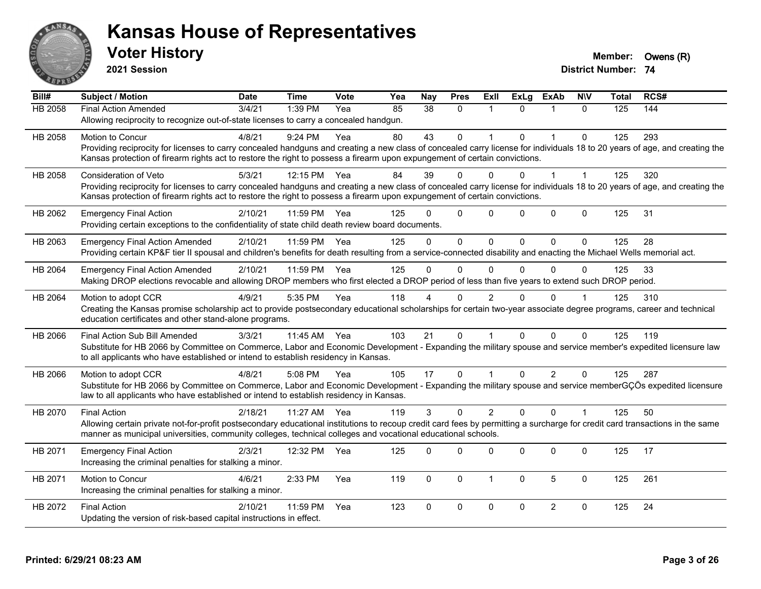

**2021 Session**

| Bill#   | Subject / Motion                                                                                                                                                             | <b>Date</b> | <b>Time</b>  | <b>Vote</b> | Yea | <b>Nay</b> | <b>Pres</b>  | ExII           | <b>ExLg</b> | <b>ExAb</b>    | <b>NIV</b>   | <b>Total</b> | RCS# |
|---------|------------------------------------------------------------------------------------------------------------------------------------------------------------------------------|-------------|--------------|-------------|-----|------------|--------------|----------------|-------------|----------------|--------------|--------------|------|
| HB 2058 | <b>Final Action Amended</b>                                                                                                                                                  | 3/4/21      | 1:39 PM      | Yea         | 85  | 38         | $\mathbf{0}$ | $\overline{1}$ | $\Omega$    |                | $\Omega$     | 125          | 144  |
|         | Allowing reciprocity to recognize out-of-state licenses to carry a concealed handgun.                                                                                        |             |              |             |     |            |              |                |             |                |              |              |      |
| HB 2058 | <b>Motion to Concur</b>                                                                                                                                                      | 4/8/21      | $9:24$ PM    | Yea         | 80  | 43         | $\mathbf{0}$ |                | $\Omega$    | $\mathbf 1$    | $\mathbf{0}$ | 125          | 293  |
|         | Providing reciprocity for licenses to carry concealed handguns and creating a new class of concealed carry license for individuals 18 to 20 years of age, and creating the   |             |              |             |     |            |              |                |             |                |              |              |      |
|         | Kansas protection of firearm rights act to restore the right to possess a firearm upon expungement of certain convictions.                                                   |             |              |             |     |            |              |                |             |                |              |              |      |
| HB 2058 | Consideration of Veto                                                                                                                                                        | 5/3/21      | 12:15 PM     | Yea         | 84  | 39         | $\Omega$     | 0              |             |                |              | 125          | 320  |
|         | Providing reciprocity for licenses to carry concealed handguns and creating a new class of concealed carry license for individuals 18 to 20 years of age, and creating the   |             |              |             |     |            |              |                |             |                |              |              |      |
|         | Kansas protection of firearm rights act to restore the right to possess a firearm upon expungement of certain convictions.                                                   |             |              |             |     |            |              |                |             |                |              |              |      |
| HB 2062 | <b>Emergency Final Action</b>                                                                                                                                                | 2/10/21     | 11:59 PM     | Yea         | 125 | n          | $\mathbf{0}$ | $\mathbf{0}$   | $\Omega$    | $\mathbf{0}$   | $\mathbf 0$  | 125          | 31   |
|         | Providing certain exceptions to the confidentiality of state child death review board documents.                                                                             |             |              |             |     |            |              |                |             |                |              |              |      |
| HB 2063 | <b>Emergency Final Action Amended</b>                                                                                                                                        | 2/10/21     | 11:59 PM     | Yea         | 125 | $\Omega$   | $\Omega$     | $\Omega$       | $\Omega$    | $\Omega$       | $\mathbf{0}$ | 125          | 28   |
|         | Providing certain KP&F tier II spousal and children's benefits for death resulting from a service-connected disability and enacting the Michael Wells memorial act.          |             |              |             |     |            |              |                |             |                |              |              |      |
| HB 2064 | <b>Emergency Final Action Amended</b>                                                                                                                                        | 2/10/21     | 11:59 PM     | Yea         | 125 | $\Omega$   | $\mathbf{0}$ | $\mathbf{0}$   | $\Omega$    | $\Omega$       | $\Omega$     | 125          | 33   |
|         | Making DROP elections revocable and allowing DROP members who first elected a DROP period of less than five years to extend such DROP period.                                |             |              |             |     |            |              |                |             |                |              |              |      |
| HB 2064 | Motion to adopt CCR                                                                                                                                                          | 4/9/21      | 5:35 PM      | Yea         | 118 |            | $\Omega$     | 2              | 0           | $\Omega$       |              | 125          | 310  |
|         | Creating the Kansas promise scholarship act to provide postsecondary educational scholarships for certain two-year associate degree programs, career and technical           |             |              |             |     |            |              |                |             |                |              |              |      |
|         | education certificates and other stand-alone programs.                                                                                                                       |             |              |             |     |            |              |                |             |                |              |              |      |
| HB 2066 | Final Action Sub Bill Amended                                                                                                                                                | 3/3/21      | 11:45 AM Yea |             | 103 | 21         | $\mathbf{0}$ |                | $\Omega$    | $\Omega$       | $\Omega$     | 125          | 119  |
|         | Substitute for HB 2066 by Committee on Commerce, Labor and Economic Development - Expanding the military spouse and service member's expedited licensure law                 |             |              |             |     |            |              |                |             |                |              |              |      |
|         | to all applicants who have established or intend to establish residency in Kansas.                                                                                           |             |              |             |     |            |              |                |             |                |              |              |      |
| HB 2066 | Motion to adopt CCR                                                                                                                                                          | 4/8/21      | 5:08 PM      | Yea         | 105 | 17         | $\mathbf{0}$ |                | $\Omega$    | $\overline{2}$ | $\mathbf{0}$ | 125          | 287  |
|         | Substitute for HB 2066 by Committee on Commerce, Labor and Economic Development - Expanding the military spouse and service memberGÇÖs expedited licensure                   |             |              |             |     |            |              |                |             |                |              |              |      |
|         | law to all applicants who have established or intend to establish residency in Kansas.                                                                                       |             |              |             |     |            |              |                |             |                |              |              |      |
| HB 2070 | <b>Final Action</b>                                                                                                                                                          | 2/18/21     | 11:27 AM     | Yea         | 119 | 3          | $\Omega$     | $\overline{2}$ | $\Omega$    | $\Omega$       |              | 125          | 50   |
|         | Allowing certain private not-for-profit postsecondary educational institutions to recoup credit card fees by permitting a surcharge for credit card transactions in the same |             |              |             |     |            |              |                |             |                |              |              |      |
|         | manner as municipal universities, community colleges, technical colleges and vocational educational schools.                                                                 |             |              |             |     |            |              |                |             |                |              |              |      |
| HB 2071 | <b>Emergency Final Action</b>                                                                                                                                                | 2/3/21      | 12:32 PM     | Yea         | 125 | $\Omega$   | $\Omega$     | $\Omega$       | $\Omega$    | 0              | $\mathbf 0$  | 125          | 17   |
|         | Increasing the criminal penalties for stalking a minor.                                                                                                                      |             |              |             |     |            |              |                |             |                |              |              |      |
| HB 2071 | <b>Motion to Concur</b>                                                                                                                                                      | 4/6/21      | 2:33 PM      | Yea         | 119 | $\Omega$   | $\mathbf 0$  | $\mathbf 1$    | $\Omega$    | 5              | $\mathbf{0}$ | 125          | 261  |
|         | Increasing the criminal penalties for stalking a minor.                                                                                                                      |             |              |             |     |            |              |                |             |                |              |              |      |
| HB 2072 | <b>Final Action</b>                                                                                                                                                          | 2/10/21     | 11:59 PM     | Yea         | 123 | $\Omega$   | $\mathbf 0$  | $\mathbf 0$    | 0           | $\overline{2}$ | $\mathbf 0$  | 125          | 24   |
|         | Updating the version of risk-based capital instructions in effect.                                                                                                           |             |              |             |     |            |              |                |             |                |              |              |      |
|         |                                                                                                                                                                              |             |              |             |     |            |              |                |             |                |              |              |      |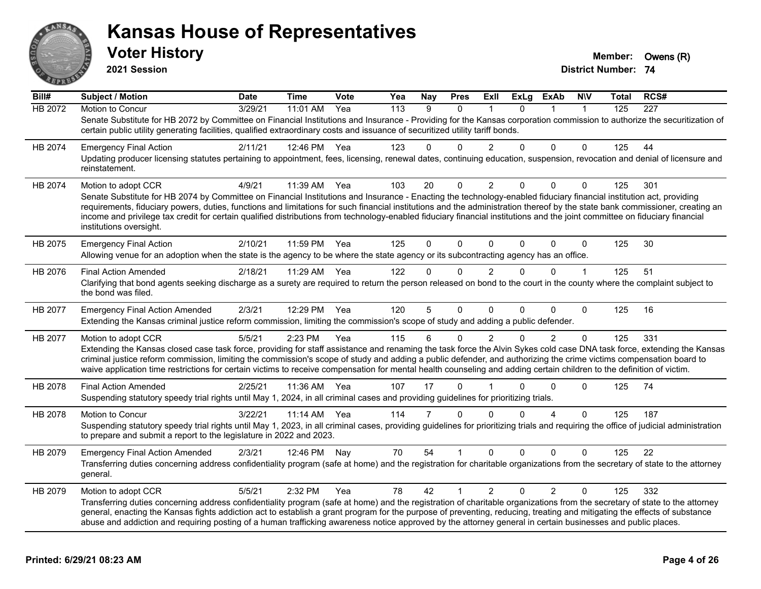

**2021 Session**

**Bill# Subject / Motion Date Time Vote Yea Nay Pres Exll ExLg ExAb N\V Total RCS#** HB 2072 Motion to Concur 3/29/21 11:01 AM Yea 113 9 0 1 0 1 1 125 227 Senate Substitute for HB 2072 by Committee on Financial Institutions and Insurance - Providing for the Kansas corporation commission to authorize the securitization of certain public utility generating facilities, qualified extraordinary costs and issuance of securitized utility tariff bonds. HB 2074 Emergency Final Action 2/11/21 12:46 PM Yea 123 0 0 2 0 0 0 125 44 Updating producer licensing statutes pertaining to appointment, fees, licensing, renewal dates, continuing education, suspension, revocation and denial of licensure and reinstatement. HB 2074 Motion to adopt CCR 4/9/21 11:39 AM Yea 103 20 0 2 0 0 0 125 301 Senate Substitute for HB 2074 by Committee on Financial Institutions and Insurance - Enacting the technology-enabled fiduciary financial institution act, providing requirements, fiduciary powers, duties, functions and limitations for such financial institutions and the administration thereof by the state bank commissioner, creating an income and privilege tax credit for certain qualified distributions from technology-enabled fiduciary financial institutions and the joint committee on fiduciary financial institutions oversight. HB 2075 Emergency Final Action 2/10/21 11:59 PM Yea 125 0 0 0 0 0 0 125 30 Allowing venue for an adoption when the state is the agency to be where the state agency or its subcontracting agency has an office. HB 2076 Final Action Amended 2/18/21 11:29 AM Yea 122 0 0 2 0 0 1 125 51 Clarifying that bond agents seeking discharge as a surety are required to return the person released on bond to the court in the county where the complaint subject to the bond was filed. HB 2077 Emergency Final Action Amended 2/3/21 12:29 PM Yea 120 5 0 0 0 0 0 125 16 Extending the Kansas criminal justice reform commission, limiting the commission's scope of study and adding a public defender. HB 2077 Motion to adopt CCR 5/5/21 2:23 PM Yea 115 6 0 2 0 2 0 125 331 Extending the Kansas closed case task force, providing for staff assistance and renaming the task force the Alvin Sykes cold case DNA task force, extending the Kansas criminal justice reform commission, limiting the commission's scope of study and adding a public defender, and authorizing the crime victims compensation board to waive application time restrictions for certain victims to receive compensation for mental health counseling and adding certain children to the definition of victim. HB 2078 Final Action Amended 2/25/21 11:36 AM Yea 107 17 0 1 0 0 0 125 74 Suspending statutory speedy trial rights until May 1, 2024, in all criminal cases and providing guidelines for prioritizing trials. HB 2078 Motion to Concur 3/22/21 11:14 AM Yea 114 7 0 0 0 4 0 125 187 Suspending statutory speedy trial rights until May 1, 2023, in all criminal cases, providing quidelines for prioritizing trials and requiring the office of judicial administration to prepare and submit a report to the legislature in 2022 and 2023. HB 2079 Emergency Final Action Amended 2/3/21 12:46 PM Nay 70 54 1 0 0 0 0 125 22 Transferring duties concerning address confidentiality program (safe at home) and the registration for charitable organizations from the secretary of state to the attorney general. HB 2079 Motion to adopt CCR 6/5/21 2:32 PM Yea 78 42 1 2 0 2 0 125 332 Transferring duties concerning address confidentiality program (safe at home) and the registration of charitable organizations from the secretary of state to the attorney general, enacting the Kansas fights addiction act to establish a grant program for the purpose of preventing, reducing, treating and mitigating the effects of substance abuse and addiction and requiring posting of a human trafficking awareness notice approved by the attorney general in certain businesses and public places.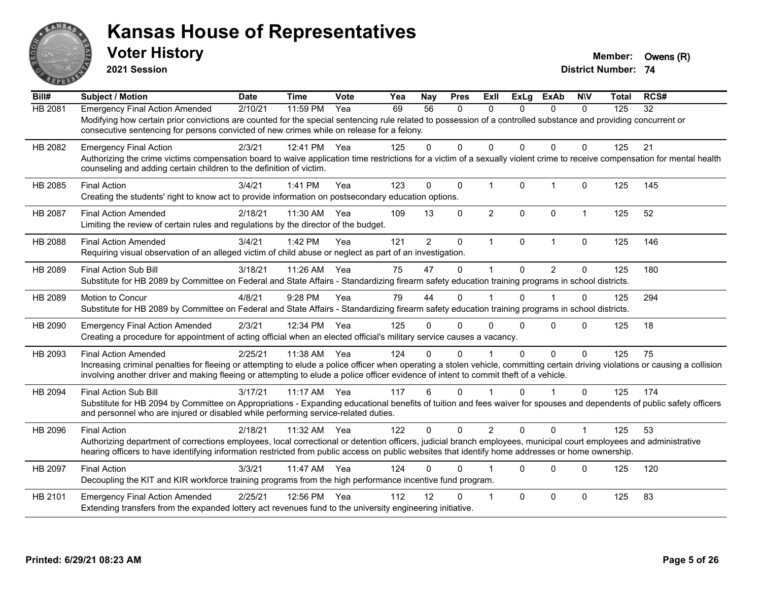

**2021 Session**

| Bill#          | Subject / Motion                                                                                                                                                                                                                                                                                                                                       | <b>Date</b> | <b>Time</b>  | Vote | Yea | Nay            | <b>Pres</b>  | ExII           | <b>ExLg</b>  | <b>ExAb</b>    | <b>NIV</b>   | <b>Total</b> | RCS# |
|----------------|--------------------------------------------------------------------------------------------------------------------------------------------------------------------------------------------------------------------------------------------------------------------------------------------------------------------------------------------------------|-------------|--------------|------|-----|----------------|--------------|----------------|--------------|----------------|--------------|--------------|------|
| <b>HB 2081</b> | <b>Emergency Final Action Amended</b><br>Modifying how certain prior convictions are counted for the special sentencing rule related to possession of a controlled substance and providing concurrent or<br>consecutive sentencing for persons convicted of new crimes while on release for a felony.                                                  | 2/10/21     | 11:59 PM     | Yea  | 69  | 56             | $\mathbf{0}$ | $\Omega$       | 0            | $\mathbf{0}$   | $\mathbf{0}$ | 125          | 32   |
| HB 2082        | <b>Emergency Final Action</b><br>Authorizing the crime victims compensation board to waive application time restrictions for a victim of a sexually violent crime to receive compensation for mental health<br>counseling and adding certain children to the definition of victim.                                                                     | 2/3/21      | 12:41 PM     | Yea  | 125 | $\Omega$       | $\Omega$     | 0              | 0            | $\Omega$       | $\Omega$     | 125          | 21   |
| HB 2085        | <b>Final Action</b><br>Creating the students' right to know act to provide information on postsecondary education options.                                                                                                                                                                                                                             | 3/4/21      | 1:41 PM      | Yea  | 123 | $\mathbf 0$    | $\mathbf 0$  | $\mathbf{1}$   | $\mathbf{0}$ | $\overline{1}$ | $\mathbf{0}$ | 125          | 145  |
| <b>HB 2087</b> | <b>Final Action Amended</b><br>Limiting the review of certain rules and regulations by the director of the budget.                                                                                                                                                                                                                                     | 2/18/21     | 11:30 AM     | Yea  | 109 | 13             | $\Omega$     | $\overline{2}$ | $\Omega$     | $\Omega$       | $\mathbf{1}$ | 125          | 52   |
| HB 2088        | <b>Final Action Amended</b><br>Requiring visual observation of an alleged victim of child abuse or neglect as part of an investigation.                                                                                                                                                                                                                | 3/4/21      | 1:42 PM      | Yea  | 121 | $\overline{2}$ | 0            | $\mathbf{1}$   | $\mathbf{0}$ | $\overline{1}$ | $\Omega$     | 125          | 146  |
| HB 2089        | Final Action Sub Bill<br>Substitute for HB 2089 by Committee on Federal and State Affairs - Standardizing firearm safety education training programs in school districts.                                                                                                                                                                              | 3/18/21     | $11:26$ AM   | Yea  | 75  | 47             | $\Omega$     | 1              | 0            | $\overline{2}$ | $\Omega$     | 125          | 180  |
| HB 2089        | <b>Motion to Concur</b><br>Substitute for HB 2089 by Committee on Federal and State Affairs - Standardizing firearm safety education training programs in school districts.                                                                                                                                                                            | 4/8/21      | 9:28 PM      | Yea  | 79  | 44             | $\Omega$     |                | 0            |                | 0            | 125          | 294  |
| HB 2090        | <b>Emergency Final Action Amended</b><br>Creating a procedure for appointment of acting official when an elected official's military service causes a vacancy.                                                                                                                                                                                         | 2/3/21      | 12:34 PM Yea |      | 125 | 0              | $\Omega$     | 0              | 0            | $\Omega$       | $\Omega$     | 125          | 18   |
| HB 2093        | <b>Final Action Amended</b><br>Increasing criminal penalties for fleeing or attempting to elude a police officer when operating a stolen vehicle, committing certain driving violations or causing a collision<br>involving another driver and making fleeing or attempting to elude a police officer evidence of intent to commit theft of a vehicle. | 2/25/21     | 11:38 AM     | Yea  | 124 | $\Omega$       | $\Omega$     |                | $\Omega$     | $\mathbf 0$    | $\Omega$     | 125          | 75   |
| HB 2094        | Final Action Sub Bill<br>Substitute for HB 2094 by Committee on Appropriations - Expanding educational benefits of tuition and fees waiver for spouses and dependents of public safety officers<br>and personnel who are injured or disabled while performing service-related duties.                                                                  | 3/17/21     | 11:17 AM     | Yea  | 117 | 6              | $\Omega$     |                | $\Omega$     | -1             | $\Omega$     | 125          | 174  |
| HB 2096        | <b>Final Action</b><br>Authorizing department of corrections employees, local correctional or detention officers, judicial branch employees, municipal court employees and administrative<br>hearing officers to have identifying information restricted from public access on public websites that identify home addresses or home ownership.         | 2/18/21     | 11:32 AM     | Yea  | 122 | $\Omega$       | $\Omega$     | $\overline{2}$ | $\Omega$     | $\Omega$       |              | 125          | 53   |
| HB 2097        | <b>Final Action</b><br>Decoupling the KIT and KIR workforce training programs from the high performance incentive fund program.                                                                                                                                                                                                                        | 3/3/21      | 11:47 AM     | Yea  | 124 | 0              | 0            |                | $\Omega$     | $\Omega$       | $\Omega$     | 125          | 120  |
| HB 2101        | <b>Emergency Final Action Amended</b><br>Extending transfers from the expanded lottery act revenues fund to the university engineering initiative.                                                                                                                                                                                                     | 2/25/21     | 12:56 PM     | Yea  | 112 | 12             | 0            | 1              | $\Omega$     | $\Omega$       | $\Omega$     | 125          | 83   |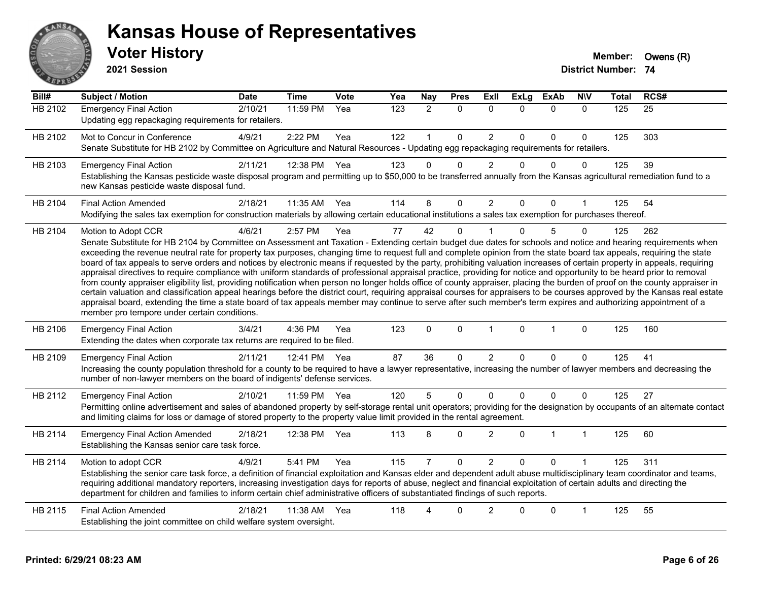

**2021 Session**

| Bill#   | <b>Subject / Motion</b>                                                                                                                                                                                                                                                                                                                                                                                                                                                                                                                                                                                                                                                                                                                                                                                                                                                                                                                                                                                                                                                                                                                                                                                                                                                                                     | <b>Date</b> | <b>Time</b> | <b>Vote</b> | Yea | <b>Nay</b>     | <b>Pres</b>  | Exll           | <b>ExLg</b>  | <b>ExAb</b>  | <b>NIV</b>   | Total | RCS# |
|---------|-------------------------------------------------------------------------------------------------------------------------------------------------------------------------------------------------------------------------------------------------------------------------------------------------------------------------------------------------------------------------------------------------------------------------------------------------------------------------------------------------------------------------------------------------------------------------------------------------------------------------------------------------------------------------------------------------------------------------------------------------------------------------------------------------------------------------------------------------------------------------------------------------------------------------------------------------------------------------------------------------------------------------------------------------------------------------------------------------------------------------------------------------------------------------------------------------------------------------------------------------------------------------------------------------------------|-------------|-------------|-------------|-----|----------------|--------------|----------------|--------------|--------------|--------------|-------|------|
| HB 2102 | <b>Emergency Final Action</b><br>Updating egg repackaging requirements for retailers.                                                                                                                                                                                                                                                                                                                                                                                                                                                                                                                                                                                                                                                                                                                                                                                                                                                                                                                                                                                                                                                                                                                                                                                                                       | 2/10/21     | 11:59 PM    | Yea         | 123 | $\overline{2}$ | $\mathbf 0$  | $\mathbf{0}$   | $\Omega$     | $\mathbf 0$  | $\mathbf{0}$ | 125   | 25   |
| HB 2102 | Mot to Concur in Conference<br>Senate Substitute for HB 2102 by Committee on Agriculture and Natural Resources - Updating egg repackaging requirements for retailers.                                                                                                                                                                                                                                                                                                                                                                                                                                                                                                                                                                                                                                                                                                                                                                                                                                                                                                                                                                                                                                                                                                                                       | 4/9/21      | 2:22 PM     | Yea         | 122 | 1              | $\mathbf{0}$ | $\overline{2}$ | $\Omega$     | $\Omega$     | $\mathbf{0}$ | 125   | 303  |
| HB 2103 | <b>Emergency Final Action</b><br>Establishing the Kansas pesticide waste disposal program and permitting up to \$50,000 to be transferred annually from the Kansas agricultural remediation fund to a<br>new Kansas pesticide waste disposal fund.                                                                                                                                                                                                                                                                                                                                                                                                                                                                                                                                                                                                                                                                                                                                                                                                                                                                                                                                                                                                                                                          | 2/11/21     | 12:38 PM    | Yea         | 123 | $\Omega$       | $\Omega$     | $\overline{2}$ | $\Omega$     | $\mathbf{0}$ | 0            | 125   | 39   |
| HB 2104 | <b>Final Action Amended</b><br>Modifying the sales tax exemption for construction materials by allowing certain educational institutions a sales tax exemption for purchases thereof.                                                                                                                                                                                                                                                                                                                                                                                                                                                                                                                                                                                                                                                                                                                                                                                                                                                                                                                                                                                                                                                                                                                       | 2/18/21     | 11:35 AM    | Yea         | 114 | 8              | 0            | $\overline{2}$ | $\Omega$     | $\mathbf{0}$ |              | 125   | 54   |
| HB 2104 | Motion to Adopt CCR<br>Senate Substitute for HB 2104 by Committee on Assessment ant Taxation - Extending certain budget due dates for schools and notice and hearing requirements when<br>exceeding the revenue neutral rate for property tax purposes, changing time to request full and complete opinion from the state board tax appeals, requiring the state<br>board of tax appeals to serve orders and notices by electronic means if requested by the party, prohibiting valuation increases of certain property in appeals, requiring<br>appraisal directives to require compliance with uniform standards of professional appraisal practice, providing for notice and opportunity to be heard prior to removal<br>from county appraiser eligibility list, providing notification when person no longer holds office of county appraiser, placing the burden of proof on the county appraiser in<br>certain valuation and classification appeal hearings before the district court, requiring appraisal courses for appraisers to be courses approved by the Kansas real estate<br>appraisal board, extending the time a state board of tax appeals member may continue to serve after such member's term expires and authorizing appointment of a<br>member pro tempore under certain conditions. | 4/6/21      | 2:57 PM     | Yea         | 77  | 42             | $\Omega$     |                | $\Omega$     | 5            | $\Omega$     | 125   | 262  |
| HB 2106 | <b>Emergency Final Action</b><br>Extending the dates when corporate tax returns are required to be filed.                                                                                                                                                                                                                                                                                                                                                                                                                                                                                                                                                                                                                                                                                                                                                                                                                                                                                                                                                                                                                                                                                                                                                                                                   | 3/4/21      | 4:36 PM     | Yea         | 123 | $\mathbf 0$    | $\mathbf 0$  | $\mathbf 1$    | $\mathbf{0}$ | $\mathbf{1}$ | $\mathbf 0$  | 125   | 160  |
| HB 2109 | <b>Emergency Final Action</b><br>Increasing the county population threshold for a county to be required to have a lawyer representative, increasing the number of lawyer members and decreasing the<br>number of non-lawyer members on the board of indigents' defense services.                                                                                                                                                                                                                                                                                                                                                                                                                                                                                                                                                                                                                                                                                                                                                                                                                                                                                                                                                                                                                            | 2/11/21     | 12:41 PM    | Yea         | 87  | 36             | $\Omega$     | $\overline{2}$ | $\Omega$     | $\mathbf{0}$ | $\Omega$     | 125   | 41   |
| HB 2112 | <b>Emergency Final Action</b><br>Permitting online advertisement and sales of abandoned property by self-storage rental unit operators; providing for the designation by occupants of an alternate contact<br>and limiting claims for loss or damage of stored property to the property value limit provided in the rental agreement.                                                                                                                                                                                                                                                                                                                                                                                                                                                                                                                                                                                                                                                                                                                                                                                                                                                                                                                                                                       | 2/10/21     | 11:59 PM    | Yea         | 120 | 5              | $\mathbf{0}$ | $\mathbf{0}$   | $\Omega$     | $\Omega$     | $\Omega$     | 125   | 27   |
| HB 2114 | <b>Emergency Final Action Amended</b><br>Establishing the Kansas senior care task force.                                                                                                                                                                                                                                                                                                                                                                                                                                                                                                                                                                                                                                                                                                                                                                                                                                                                                                                                                                                                                                                                                                                                                                                                                    | 2/18/21     | 12:38 PM    | Yea         | 113 | 8              | $\Omega$     | $\overline{2}$ | $\Omega$     | $\mathbf 1$  | $\mathbf 1$  | 125   | 60   |
| HB 2114 | Motion to adopt CCR<br>Establishing the senior care task force, a definition of financial exploitation and Kansas elder and dependent adult abuse multidisciplinary team coordinator and teams,<br>requiring additional mandatory reporters, increasing investigation days for reports of abuse, neglect and financial exploitation of certain adults and directing the<br>department for children and families to inform certain chief administrative officers of substantiated findings of such reports.                                                                                                                                                                                                                                                                                                                                                                                                                                                                                                                                                                                                                                                                                                                                                                                                  | 4/9/21      | 5:41 PM     | Yea         | 115 | 7              | $\Omega$     | $\overline{2}$ | $\Omega$     | $\Omega$     |              | 125   | 311  |
| HB 2115 | <b>Final Action Amended</b><br>Establishing the joint committee on child welfare system oversight.                                                                                                                                                                                                                                                                                                                                                                                                                                                                                                                                                                                                                                                                                                                                                                                                                                                                                                                                                                                                                                                                                                                                                                                                          | 2/18/21     | 11:38 AM    | Yea         | 118 | 4              | 0            | $\overline{2}$ | $\Omega$     | $\mathbf 0$  | 1            | 125   | 55   |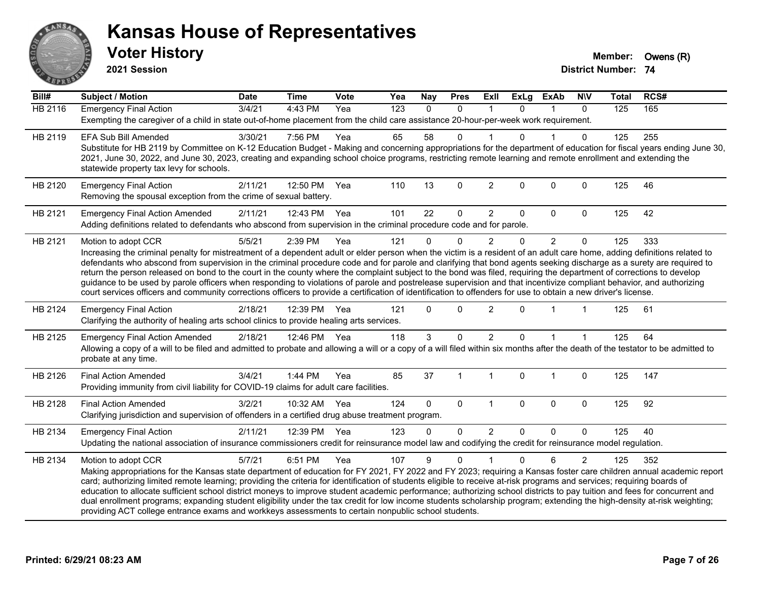

**2021 Session**

| Bill#          | Subject / Motion                                                                                                                                                                                                                                                                                                                                    | <b>Date</b> | <b>Time</b>  | <b>Vote</b> | Yea              | <b>Nay</b> | <b>Pres</b>  | ExIl           | <b>ExLg</b>  | <b>ExAb</b>    | <b>NIV</b>     | <b>Total</b> | RCS# |  |
|----------------|-----------------------------------------------------------------------------------------------------------------------------------------------------------------------------------------------------------------------------------------------------------------------------------------------------------------------------------------------------|-------------|--------------|-------------|------------------|------------|--------------|----------------|--------------|----------------|----------------|--------------|------|--|
| <b>HB 2116</b> | <b>Emergency Final Action</b>                                                                                                                                                                                                                                                                                                                       | 3/4/21      | 4:43 PM      | Yea         | $\overline{123}$ | $\Omega$   | $\Omega$     | 1              | $\Omega$     | 1              | $\Omega$       | 125          | 165  |  |
|                | Exempting the caregiver of a child in state out-of-home placement from the child care assistance 20-hour-per-week work requirement.                                                                                                                                                                                                                 |             |              |             |                  |            |              |                |              |                |                |              |      |  |
| HB 2119        | <b>EFA Sub Bill Amended</b>                                                                                                                                                                                                                                                                                                                         | 3/30/21     | 7:56 PM      | Yea         | 65               | 58         | 0            |                | $\Omega$     |                | $\Omega$       | 125          | 255  |  |
|                | Substitute for HB 2119 by Committee on K-12 Education Budget - Making and concerning appropriations for the department of education for fiscal years ending June 30,                                                                                                                                                                                |             |              |             |                  |            |              |                |              |                |                |              |      |  |
|                | 2021, June 30, 2022, and June 30, 2023, creating and expanding school choice programs, restricting remote learning and remote enrollment and extending the                                                                                                                                                                                          |             |              |             |                  |            |              |                |              |                |                |              |      |  |
|                | statewide property tax levy for schools.                                                                                                                                                                                                                                                                                                            |             |              |             |                  |            |              |                |              |                |                |              |      |  |
| HB 2120        | <b>Emergency Final Action</b>                                                                                                                                                                                                                                                                                                                       | 2/11/21     | 12:50 PM     | Yea         | 110              | 13         | $\mathbf 0$  | $\overline{c}$ | $\mathbf{0}$ | $\mathbf 0$    | $\mathbf 0$    | 125          | 46   |  |
|                | Removing the spousal exception from the crime of sexual battery.                                                                                                                                                                                                                                                                                    |             |              |             |                  |            |              |                |              |                |                |              |      |  |
| HB 2121        | <b>Emergency Final Action Amended</b>                                                                                                                                                                                                                                                                                                               | 2/11/21     | 12:43 PM     | Yea         | 101              | 22         | $\mathbf 0$  | $\overline{2}$ | $\Omega$     | 0              | $\mathbf 0$    | 125          | 42   |  |
|                | Adding definitions related to defendants who abscond from supervision in the criminal procedure code and for parole.                                                                                                                                                                                                                                |             |              |             |                  |            |              |                |              |                |                |              |      |  |
| HB 2121        | Motion to adopt CCR                                                                                                                                                                                                                                                                                                                                 | 5/5/21      | 2:39 PM      | Yea         | 121              | U          | $\Omega$     | $\overline{2}$ | $\Omega$     | $\overline{2}$ | $\mathbf 0$    | 125          | 333  |  |
|                | Increasing the criminal penalty for mistreatment of a dependent adult or elder person when the victim is a resident of an adult care home, adding definitions related to                                                                                                                                                                            |             |              |             |                  |            |              |                |              |                |                |              |      |  |
|                | defendants who abscond from supervision in the criminal procedure code and for parole and clarifying that bond agents seeking discharge as a surety are required to                                                                                                                                                                                 |             |              |             |                  |            |              |                |              |                |                |              |      |  |
|                | return the person released on bond to the court in the county where the complaint subject to the bond was filed, requiring the department of corrections to develop<br>guidance to be used by parole officers when responding to violations of parole and postrelease supervision and that incentivize compliant behavior, and authorizing          |             |              |             |                  |            |              |                |              |                |                |              |      |  |
|                | court services officers and community corrections officers to provide a certification of identification to offenders for use to obtain a new driver's license.                                                                                                                                                                                      |             |              |             |                  |            |              |                |              |                |                |              |      |  |
|                |                                                                                                                                                                                                                                                                                                                                                     |             |              |             |                  | $\Omega$   |              |                | $\Omega$     | $\overline{1}$ |                |              |      |  |
| HB 2124        | <b>Emergency Final Action</b><br>Clarifying the authority of healing arts school clinics to provide healing arts services.                                                                                                                                                                                                                          | 2/18/21     | 12:39 PM     | Yea         | 121              |            | $\Omega$     | $\overline{2}$ |              |                |                | 125          | 61   |  |
|                |                                                                                                                                                                                                                                                                                                                                                     |             |              |             |                  |            |              |                |              |                |                |              |      |  |
| HB 2125        | <b>Emergency Final Action Amended</b>                                                                                                                                                                                                                                                                                                               | 2/18/21     | 12:46 PM Yea |             | 118              | 3          | $\mathbf{0}$ | $\overline{2}$ | $\Omega$     | $\mathbf 1$    |                | 125          | 64   |  |
|                | Allowing a copy of a will to be filed and admitted to probate and allowing a will or a copy of a will filed within six months after the death of the testator to be admitted to<br>probate at any time.                                                                                                                                             |             |              |             |                  |            |              |                |              |                |                |              |      |  |
|                |                                                                                                                                                                                                                                                                                                                                                     |             |              |             |                  |            |              |                |              |                |                |              |      |  |
| HB 2126        | <b>Final Action Amended</b>                                                                                                                                                                                                                                                                                                                         | 3/4/21      | 1:44 PM      | Yea         | 85               | 37         | $\mathbf{1}$ | $\mathbf{1}$   | $\mathbf 0$  | $\mathbf{1}$   | 0              | 125          | 147  |  |
|                | Providing immunity from civil liability for COVID-19 claims for adult care facilities.                                                                                                                                                                                                                                                              |             |              |             |                  |            |              |                |              |                |                |              |      |  |
| HB 2128        | <b>Final Action Amended</b>                                                                                                                                                                                                                                                                                                                         | 3/2/21      | 10:32 AM Yea |             | 124              | $\Omega$   | $\mathbf 0$  | $\mathbf{1}$   | $\mathbf 0$  | $\mathbf 0$    | $\mathbf 0$    | 125          | 92   |  |
|                | Clarifying jurisdiction and supervision of offenders in a certified drug abuse treatment program.                                                                                                                                                                                                                                                   |             |              |             |                  |            |              |                |              |                |                |              |      |  |
| HB 2134        | <b>Emergency Final Action</b>                                                                                                                                                                                                                                                                                                                       | 2/11/21     | 12:39 PM     | Yea         | 123              | $\Omega$   | $\mathbf 0$  | $\overline{2}$ | $\Omega$     | $\Omega$       | $\Omega$       | 125          | 40   |  |
|                | Updating the national association of insurance commissioners credit for reinsurance model law and codifying the credit for reinsurance model regulation.                                                                                                                                                                                            |             |              |             |                  |            |              |                |              |                |                |              |      |  |
| HB 2134        | Motion to adopt CCR                                                                                                                                                                                                                                                                                                                                 | 5/7/21      | 6:51 PM      | Yea         | 107              | 9          | $\mathbf{0}$ |                | $\Omega$     | 6              | $\overline{2}$ | 125          | 352  |  |
|                | Making appropriations for the Kansas state department of education for FY 2021, FY 2022 and FY 2023; requiring a Kansas foster care children annual academic report                                                                                                                                                                                 |             |              |             |                  |            |              |                |              |                |                |              |      |  |
|                | card; authorizing limited remote learning; providing the criteria for identification of students eligible to receive at-risk programs and services; requiring boards of                                                                                                                                                                             |             |              |             |                  |            |              |                |              |                |                |              |      |  |
|                | education to allocate sufficient school district moneys to improve student academic performance; authorizing school districts to pay tuition and fees for concurrent and<br>dual enrollment programs; expanding student eligibility under the tax credit for low income students scholarship program; extending the high-density at-risk weighting; |             |              |             |                  |            |              |                |              |                |                |              |      |  |
|                | providing ACT college entrance exams and workkeys assessments to certain nonpublic school students.                                                                                                                                                                                                                                                 |             |              |             |                  |            |              |                |              |                |                |              |      |  |
|                |                                                                                                                                                                                                                                                                                                                                                     |             |              |             |                  |            |              |                |              |                |                |              |      |  |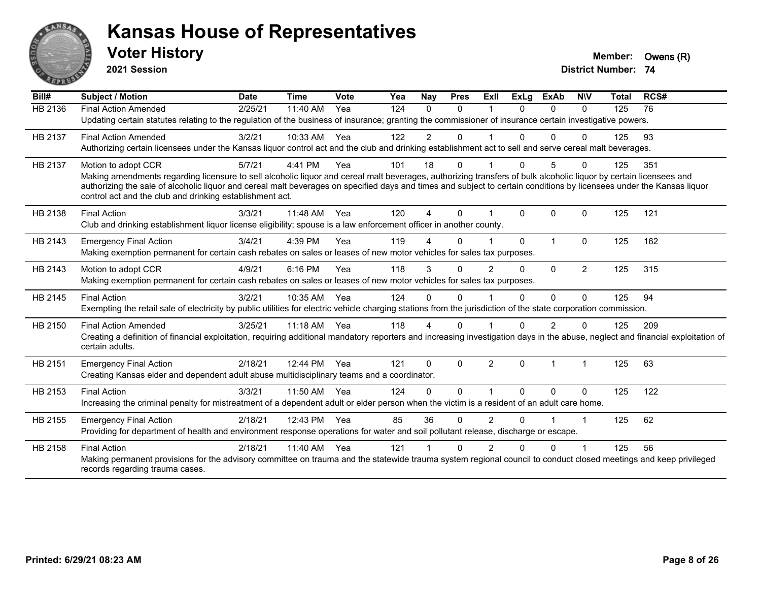

**2021 Session**

| Bill#   | Subject / Motion                                                                                                                                                                                                                                                                                                                                                                                                              | <b>Date</b> | <b>Time</b> | Vote | Yea | Nay                    | <b>Pres</b> | ExII           | ExLg     | <b>ExAb</b>    | <b>NIV</b>     | Total | RCS# |  |
|---------|-------------------------------------------------------------------------------------------------------------------------------------------------------------------------------------------------------------------------------------------------------------------------------------------------------------------------------------------------------------------------------------------------------------------------------|-------------|-------------|------|-----|------------------------|-------------|----------------|----------|----------------|----------------|-------|------|--|
| HB 2136 | <b>Final Action Amended</b><br>Updating certain statutes relating to the regulation of the business of insurance; granting the commissioner of insurance certain investigative powers.                                                                                                                                                                                                                                        | 2/25/21     | 11:40 AM    | Yea  | 124 | $\Omega$               | $\Omega$    |                | $\Omega$ | $\Omega$       | $\Omega$       | 125   | 76   |  |
| HB 2137 | <b>Final Action Amended</b><br>Authorizing certain licensees under the Kansas liquor control act and the club and drinking establishment act to sell and serve cereal malt beverages.                                                                                                                                                                                                                                         | 3/2/21      | 10:33 AM    | Yea  | 122 | $\overline{2}$         | 0           |                | $\Omega$ | $\Omega$       | $\Omega$       | 125   | 93   |  |
| HB 2137 | Motion to adopt CCR<br>Making amendments regarding licensure to sell alcoholic liquor and cereal malt beverages, authorizing transfers of bulk alcoholic liquor by certain licensees and<br>authorizing the sale of alcoholic liquor and cereal malt beverages on specified days and times and subject to certain conditions by licensees under the Kansas liquor<br>control act and the club and drinking establishment act. | 5/7/21      | 4:41 PM     | Yea  | 101 | 18                     | $\Omega$    |                |          | 5              |                | 125   | 351  |  |
| HB 2138 | <b>Final Action</b><br>Club and drinking establishment liquor license eligibility; spouse is a law enforcement officer in another county.                                                                                                                                                                                                                                                                                     | 3/3/21      | 11:48 AM    | Yea  | 120 | 4                      | $\Omega$    |                | $\Omega$ | $\Omega$       | $\Omega$       | 125   | 121  |  |
| HB 2143 | <b>Emergency Final Action</b><br>Making exemption permanent for certain cash rebates on sales or leases of new motor vehicles for sales tax purposes.                                                                                                                                                                                                                                                                         | 3/4/21      | 4:39 PM     | Yea  | 119 | Δ                      | $\Omega$    |                | $\Omega$ |                | $\mathbf{0}$   | 125   | 162  |  |
| HB 2143 | Motion to adopt CCR<br>Making exemption permanent for certain cash rebates on sales or leases of new motor vehicles for sales tax purposes.                                                                                                                                                                                                                                                                                   | 4/9/21      | 6:16 PM     | Yea  | 118 | 3                      | $\Omega$    | 2              | $\Omega$ | $\Omega$       | $\overline{2}$ | 125   | 315  |  |
| HB 2145 | <b>Final Action</b><br>Exempting the retail sale of electricity by public utilities for electric vehicle charging stations from the jurisdiction of the state corporation commission.                                                                                                                                                                                                                                         | 3/2/21      | 10:35 AM    | Yea  | 124 | $\Omega$               | $\Omega$    |                | $\Omega$ | $\Omega$       | $\Omega$       | 125   | 94   |  |
| HB 2150 | <b>Final Action Amended</b><br>Creating a definition of financial exploitation, requiring additional mandatory reporters and increasing investigation days in the abuse, neglect and financial exploitation of<br>certain adults.                                                                                                                                                                                             | 3/25/21     | 11:18 AM    | Yea  | 118 | $\boldsymbol{\Lambda}$ | $\Omega$    |                | $\Omega$ | $\overline{2}$ | $\Omega$       | 125   | 209  |  |
| HB 2151 | <b>Emergency Final Action</b><br>Creating Kansas elder and dependent adult abuse multidisciplinary teams and a coordinator.                                                                                                                                                                                                                                                                                                   | 2/18/21     | 12:44 PM    | Yea  | 121 | $\Omega$               | $\Omega$    | $\overline{2}$ | $\Omega$ |                |                | 125   | 63   |  |
| HB 2153 | <b>Final Action</b><br>Increasing the criminal penalty for mistreatment of a dependent adult or elder person when the victim is a resident of an adult care home.                                                                                                                                                                                                                                                             | 3/3/21      | 11:50 AM    | Yea  | 124 | $\Omega$               | $\Omega$    |                | $\Omega$ | $\Omega$       | $\Omega$       | 125   | 122  |  |
| HB 2155 | <b>Emergency Final Action</b><br>Providing for department of health and environment response operations for water and soil pollutant release, discharge or escape.                                                                                                                                                                                                                                                            | 2/18/21     | 12:43 PM    | Yea  | 85  | 36                     | $\Omega$    | $\overline{2}$ | $\Omega$ |                |                | 125   | 62   |  |
| HB 2158 | <b>Final Action</b><br>Making permanent provisions for the advisory committee on trauma and the statewide trauma system regional council to conduct closed meetings and keep privileged<br>records regarding trauma cases.                                                                                                                                                                                                    | 2/18/21     | 11:40 AM    | Yea  | 121 |                        | $\Omega$    |                |          | 0              |                | 125   | 56   |  |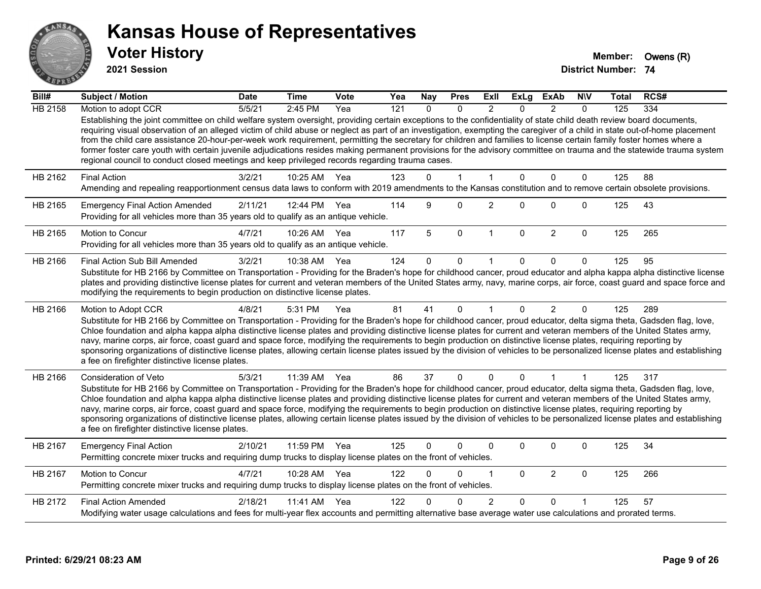

**2021 Session**

| Bill#          | <b>Subject / Motion</b>                                                                                                                                                                                                                                                                                                                                                                                                                                                                                                                                                                                                                                                                                                                                                                               | <b>Date</b> | <b>Time</b>  | <b>Vote</b> | Yea | <b>Nay</b>   | <b>Pres</b>  | ExII           | ExLg         | ExAb           | <b>NIV</b>  | Total | RCS# |
|----------------|-------------------------------------------------------------------------------------------------------------------------------------------------------------------------------------------------------------------------------------------------------------------------------------------------------------------------------------------------------------------------------------------------------------------------------------------------------------------------------------------------------------------------------------------------------------------------------------------------------------------------------------------------------------------------------------------------------------------------------------------------------------------------------------------------------|-------------|--------------|-------------|-----|--------------|--------------|----------------|--------------|----------------|-------------|-------|------|
| <b>HB 2158</b> | Motion to adopt CCR                                                                                                                                                                                                                                                                                                                                                                                                                                                                                                                                                                                                                                                                                                                                                                                   | 5/5/21      | 2:45 PM      | Yea         | 121 | $\Omega$     | $\Omega$     | $\mathfrak{p}$ | $\Omega$     | $\mathcal{P}$  | $\Omega$    | 125   | 334  |
|                | Establishing the joint committee on child welfare system oversight, providing certain exceptions to the confidentiality of state child death review board documents,<br>requiring visual observation of an alleged victim of child abuse or neglect as part of an investigation, exempting the caregiver of a child in state out-of-home placement<br>from the child care assistance 20-hour-per-week work requirement, permitting the secretary for children and families to license certain family foster homes where a<br>former foster care youth with certain juvenile adjudications resides making permanent provisions for the advisory committee on trauma and the statewide trauma system<br>regional council to conduct closed meetings and keep privileged records regarding trauma cases. |             |              |             |     |              |              |                |              |                |             |       |      |
| HB 2162        | <b>Final Action</b>                                                                                                                                                                                                                                                                                                                                                                                                                                                                                                                                                                                                                                                                                                                                                                                   | 3/2/21      | 10:25 AM     | Yea         | 123 | 0            | $\mathbf{1}$ | 1              | $\mathbf{0}$ | $\mathbf 0$    | $\mathbf 0$ | 125   | 88   |
|                | Amending and repealing reapportionment census data laws to conform with 2019 amendments to the Kansas constitution and to remove certain obsolete provisions.                                                                                                                                                                                                                                                                                                                                                                                                                                                                                                                                                                                                                                         |             |              |             |     |              |              |                |              |                |             |       |      |
| HB 2165        | <b>Emergency Final Action Amended</b><br>Providing for all vehicles more than 35 years old to qualify as an antique vehicle.                                                                                                                                                                                                                                                                                                                                                                                                                                                                                                                                                                                                                                                                          | 2/11/21     | 12:44 PM     | Yea         | 114 | 9            | 0            | 2              | 0            | 0              | 0           | 125   | 43   |
| HB 2165        | Motion to Concur                                                                                                                                                                                                                                                                                                                                                                                                                                                                                                                                                                                                                                                                                                                                                                                      | 4/7/21      | 10:26 AM     | Yea         | 117 | 5            | $\mathbf 0$  | 1              | $\mathbf 0$  | $\overline{c}$ | $\mathbf 0$ | 125   | 265  |
|                | Providing for all vehicles more than 35 years old to qualify as an antique vehicle.                                                                                                                                                                                                                                                                                                                                                                                                                                                                                                                                                                                                                                                                                                                   |             |              |             |     |              |              |                |              |                |             |       |      |
| HB 2166        | Final Action Sub Bill Amended                                                                                                                                                                                                                                                                                                                                                                                                                                                                                                                                                                                                                                                                                                                                                                         | 3/2/21      | 10:38 AM     | Yea         | 124 | 0            | $\mathbf 0$  | 1              | 0            | $\Omega$       | $\Omega$    | 125   | 95   |
|                | Substitute for HB 2166 by Committee on Transportation - Providing for the Braden's hope for childhood cancer, proud educator and alpha kappa alpha distinctive license<br>plates and providing distinctive license plates for current and veteran members of the United States army, navy, marine corps, air force, coast guard and space force and<br>modifying the requirements to begin production on distinctive license plates.                                                                                                                                                                                                                                                                                                                                                                  |             |              |             |     |              |              |                |              |                |             |       |      |
| HB 2166        | Motion to Adopt CCR                                                                                                                                                                                                                                                                                                                                                                                                                                                                                                                                                                                                                                                                                                                                                                                   | 4/8/21      | 5:31 PM      | Yea         | 81  | 41           | $\Omega$     | $\mathbf 1$    | $\Omega$     | $\overline{2}$ | $\Omega$    | 125   | 289  |
|                | Substitute for HB 2166 by Committee on Transportation - Providing for the Braden's hope for childhood cancer, proud educator, delta sigma theta, Gadsden flag, love,<br>Chloe foundation and alpha kappa alpha distinctive license plates and providing distinctive license plates for current and veteran members of the United States army,<br>navy, marine corps, air force, coast guard and space force, modifying the requirements to begin production on distinctive license plates, requiring reporting by<br>sponsoring organizations of distinctive license plates, allowing certain license plates issued by the division of vehicles to be personalized license plates and establishing<br>a fee on firefighter distinctive license plates.                                                |             |              |             |     |              |              |                |              |                |             |       |      |
| HB 2166        | Consideration of Veto                                                                                                                                                                                                                                                                                                                                                                                                                                                                                                                                                                                                                                                                                                                                                                                 | 5/3/21      | 11:39 AM Yea |             | 86  | 37           | $\mathbf 0$  | 0              | 0            |                | $\mathbf 1$ | 125   | 317  |
|                | Substitute for HB 2166 by Committee on Transportation - Providing for the Braden's hope for childhood cancer, proud educator, delta sigma theta, Gadsden flag, love,<br>Chloe foundation and alpha kappa alpha distinctive license plates and providing distinctive license plates for current and veteran members of the United States army,<br>navy, marine corps, air force, coast guard and space force, modifying the requirements to begin production on distinctive license plates, requiring reporting by<br>sponsoring organizations of distinctive license plates, allowing certain license plates issued by the division of vehicles to be personalized license plates and establishing<br>a fee on firefighter distinctive license plates.                                                |             |              |             |     |              |              |                |              |                |             |       |      |
| HB 2167        | <b>Emergency Final Action</b><br>Permitting concrete mixer trucks and requiring dump trucks to display license plates on the front of vehicles.                                                                                                                                                                                                                                                                                                                                                                                                                                                                                                                                                                                                                                                       | 2/10/21     | 11:59 PM     | Yea         | 125 | $\mathbf{0}$ | 0            | 0              | 0            | 0              | 0           | 125   | 34   |
| HB 2167        | Motion to Concur<br>Permitting concrete mixer trucks and requiring dump trucks to display license plates on the front of vehicles.                                                                                                                                                                                                                                                                                                                                                                                                                                                                                                                                                                                                                                                                    | 4/7/21      | 10:28 AM     | Yea         | 122 | $\Omega$     | $\Omega$     | 1              | $\Omega$     | $\overline{2}$ | $\pmb{0}$   | 125   | 266  |
| HB 2172        | <b>Final Action Amended</b>                                                                                                                                                                                                                                                                                                                                                                                                                                                                                                                                                                                                                                                                                                                                                                           | 2/18/21     | 11:41 AM     | Yea         | 122 | U            | 0            | $\overline{2}$ | 0            | $\mathbf{0}$   |             | 125   | 57   |
|                | Modifying water usage calculations and fees for multi-year flex accounts and permitting alternative base average water use calculations and prorated terms.                                                                                                                                                                                                                                                                                                                                                                                                                                                                                                                                                                                                                                           |             |              |             |     |              |              |                |              |                |             |       |      |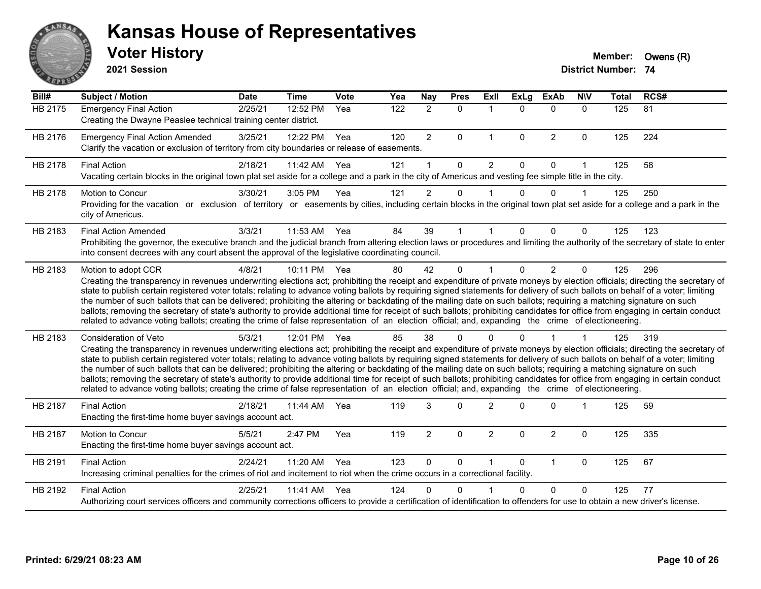

**2021 Session**

| Bill#          | <b>Subject / Motion</b>                                                                                                                                                                                                                                                                                                                                                                                                                                                                                                                                                                                                                                                                                                                                                                                                                                                                                           | <b>Date</b> | <b>Time</b> | Vote | Yea | <b>Nay</b>     | <b>Pres</b> | Exll           | <b>ExLg</b>  | <b>ExAb</b>    | <b>NIV</b>   | <b>Total</b>   | RCS# |
|----------------|-------------------------------------------------------------------------------------------------------------------------------------------------------------------------------------------------------------------------------------------------------------------------------------------------------------------------------------------------------------------------------------------------------------------------------------------------------------------------------------------------------------------------------------------------------------------------------------------------------------------------------------------------------------------------------------------------------------------------------------------------------------------------------------------------------------------------------------------------------------------------------------------------------------------|-------------|-------------|------|-----|----------------|-------------|----------------|--------------|----------------|--------------|----------------|------|
| <b>HB 2175</b> | <b>Emergency Final Action</b><br>Creating the Dwayne Peaslee technical training center district.                                                                                                                                                                                                                                                                                                                                                                                                                                                                                                                                                                                                                                                                                                                                                                                                                  | 2/25/21     | 12:52 PM    | Yea  | 122 | $\overline{2}$ | $\mathbf 0$ | $\mathbf{1}$   | $\Omega$     | $\Omega$       | $\mathbf{0}$ | $\frac{1}{25}$ | 81   |
| HB 2176        | <b>Emergency Final Action Amended</b><br>Clarify the vacation or exclusion of territory from city boundaries or release of easements.                                                                                                                                                                                                                                                                                                                                                                                                                                                                                                                                                                                                                                                                                                                                                                             | 3/25/21     | 12:22 PM    | Yea  | 120 | $\overline{2}$ | $\Omega$    | $\mathbf{1}$   | $\mathbf{0}$ | $\overline{2}$ | $\Omega$     | 125            | 224  |
| HB 2178        | <b>Final Action</b><br>Vacating certain blocks in the original town plat set aside for a college and a park in the city of Americus and vesting fee simple title in the city.                                                                                                                                                                                                                                                                                                                                                                                                                                                                                                                                                                                                                                                                                                                                     | 2/18/21     | 11:42 AM    | Yea  | 121 | 1              | $\Omega$    | 2              | $\Omega$     | $\Omega$       | 1            | 125            | 58   |
| HB 2178        | Motion to Concur<br>Providing for the vacation or exclusion of territory or easements by cities, including certain blocks in the original town plat set aside for a college and a park in the<br>city of Americus.                                                                                                                                                                                                                                                                                                                                                                                                                                                                                                                                                                                                                                                                                                | 3/30/21     | 3:05 PM     | Yea  | 121 | $\overline{2}$ | 0           |                | $\Omega$     | $\Omega$       | $\mathbf 1$  | 125            | 250  |
| HB 2183        | <b>Final Action Amended</b><br>Prohibiting the governor, the executive branch and the judicial branch from altering election laws or procedures and limiting the authority of the secretary of state to enter<br>into consent decrees with any court absent the approval of the legislative coordinating council.                                                                                                                                                                                                                                                                                                                                                                                                                                                                                                                                                                                                 | 3/3/21      | 11:53 AM    | Yea  | 84  | 39             |             |                | 0            | $\Omega$       | $\Omega$     | 125            | 123  |
| HB 2183        | Motion to adopt CCR<br>Creating the transparency in revenues underwriting elections act; prohibiting the receipt and expenditure of private moneys by election officials; directing the secretary of<br>state to publish certain registered voter totals; relating to advance voting ballots by requiring signed statements for delivery of such ballots on behalf of a voter; limiting<br>the number of such ballots that can be delivered; prohibiting the altering or backdating of the mailing date on such ballots; requiring a matching signature on such<br>ballots; removing the secretary of state's authority to provide additional time for receipt of such ballots; prohibiting candidates for office from engaging in certain conduct<br>related to advance voting ballots; creating the crime of false representation of an election official; and, expanding the crime of electioneering.          | 4/8/21      | 10:11 PM    | Yea  | 80  | 42             | $\Omega$    |                | $\Omega$     | $\overline{2}$ | $\Omega$     | 125            | 296  |
| HB 2183        | <b>Consideration of Veto</b><br>Creating the transparency in revenues underwriting elections act; prohibiting the receipt and expenditure of private moneys by election officials; directing the secretary of<br>state to publish certain registered voter totals; relating to advance voting ballots by requiring signed statements for delivery of such ballots on behalf of a voter; limiting<br>the number of such ballots that can be delivered; prohibiting the altering or backdating of the mailing date on such ballots; requiring a matching signature on such<br>ballots; removing the secretary of state's authority to provide additional time for receipt of such ballots; prohibiting candidates for office from engaging in certain conduct<br>related to advance voting ballots; creating the crime of false representation of an election official; and, expanding the crime of electioneering. | 5/3/21      | 12:01 PM    | Yea  | 85  | 38             | ∩           |                | n            |                |              | 125            | 319  |
| HB 2187        | <b>Final Action</b><br>Enacting the first-time home buyer savings account act.                                                                                                                                                                                                                                                                                                                                                                                                                                                                                                                                                                                                                                                                                                                                                                                                                                    | 2/18/21     | 11:44 AM    | Yea  | 119 | 3              | $\Omega$    | $\overline{2}$ | 0            | $\Omega$       |              | 125            | 59   |
| <b>HB 2187</b> | Motion to Concur<br>Enacting the first-time home buyer savings account act.                                                                                                                                                                                                                                                                                                                                                                                                                                                                                                                                                                                                                                                                                                                                                                                                                                       | 5/5/21      | 2:47 PM     | Yea  | 119 | $\overline{2}$ | $\Omega$    | $\overline{2}$ | $\Omega$     | $\overline{2}$ | $\mathbf{0}$ | 125            | 335  |
| HB 2191        | <b>Final Action</b><br>Increasing criminal penalties for the crimes of riot and incitement to riot when the crime occurs in a correctional facility.                                                                                                                                                                                                                                                                                                                                                                                                                                                                                                                                                                                                                                                                                                                                                              | 2/24/21     | 11:20 AM    | Yea  | 123 | $\Omega$       | $\Omega$    |                | $\Omega$     | $\mathbf{1}$   | $\mathbf{0}$ | 125            | 67   |
| HB 2192        | <b>Final Action</b><br>Authorizing court services officers and community corrections officers to provide a certification of identification to offenders for use to obtain a new driver's license.                                                                                                                                                                                                                                                                                                                                                                                                                                                                                                                                                                                                                                                                                                                 | 2/25/21     | 11:41 AM    | Yea  | 124 | n              | ∩           |                | 0            | $\Omega$       | 0            | 125            | 77   |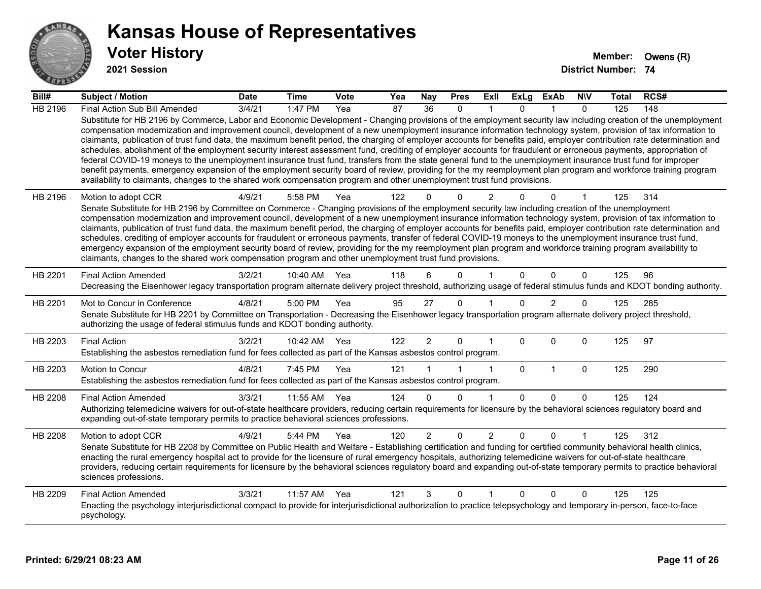

**2021 Session**

| Bill#          | <b>Subject / Motion</b>                                                                                                                                                                                                                                                                                                                                                                                                                                                                                                                                                                                                                                                                                                                                                                                                                                                                                                                                                                                                                                                                                                                           | <b>Date</b> | <b>Time</b>  | Vote | Yea | <b>Nay</b>      | <b>Pres</b>  | ExII           | <b>ExLg</b>  | <b>ExAb</b>    | <b>NIV</b>  | Total | RCS# |
|----------------|---------------------------------------------------------------------------------------------------------------------------------------------------------------------------------------------------------------------------------------------------------------------------------------------------------------------------------------------------------------------------------------------------------------------------------------------------------------------------------------------------------------------------------------------------------------------------------------------------------------------------------------------------------------------------------------------------------------------------------------------------------------------------------------------------------------------------------------------------------------------------------------------------------------------------------------------------------------------------------------------------------------------------------------------------------------------------------------------------------------------------------------------------|-------------|--------------|------|-----|-----------------|--------------|----------------|--------------|----------------|-------------|-------|------|
| <b>HB 2196</b> | Final Action Sub Bill Amended                                                                                                                                                                                                                                                                                                                                                                                                                                                                                                                                                                                                                                                                                                                                                                                                                                                                                                                                                                                                                                                                                                                     | 3/4/21      | 1:47 PM      | Yea  | 87  | $\overline{36}$ | $\Omega$     |                | $\Omega$     |                | $\Omega$    | 125   | 148  |
|                | Substitute for HB 2196 by Commerce, Labor and Economic Development - Changing provisions of the employment security law including creation of the unemployment<br>compensation modernization and improvement council, development of a new unemployment insurance information technology system, provision of tax information to<br>claimants, publication of trust fund data, the maximum benefit period, the charging of employer accounts for benefits paid, employer contribution rate determination and<br>schedules, abolishment of the employment security interest assessment fund, crediting of employer accounts for fraudulent or erroneous payments, appropriation of<br>federal COVID-19 moneys to the unemployment insurance trust fund, transfers from the state general fund to the unemployment insurance trust fund for improper<br>benefit payments, emergency expansion of the employment security board of review, providing for the my reemployment plan program and workforce training program<br>availability to claimants, changes to the shared work compensation program and other unemployment trust fund provisions. |             |              |      |     |                 |              |                |              |                |             |       |      |
| HB 2196        | Motion to adopt CCR                                                                                                                                                                                                                                                                                                                                                                                                                                                                                                                                                                                                                                                                                                                                                                                                                                                                                                                                                                                                                                                                                                                               | 4/9/21      | 5:58 PM      | Yea  | 122 |                 | $\Omega$     | 2              |              | $\Omega$       |             | 125   | 314  |
|                | Senate Substitute for HB 2196 by Committee on Commerce - Changing provisions of the employment security law including creation of the unemployment<br>compensation modernization and improvement council, development of a new unemployment insurance information technology system, provision of tax information to                                                                                                                                                                                                                                                                                                                                                                                                                                                                                                                                                                                                                                                                                                                                                                                                                              |             |              |      |     |                 |              |                |              |                |             |       |      |
|                | claimants, publication of trust fund data, the maximum benefit period, the charging of employer accounts for benefits paid, employer contribution rate determination and                                                                                                                                                                                                                                                                                                                                                                                                                                                                                                                                                                                                                                                                                                                                                                                                                                                                                                                                                                          |             |              |      |     |                 |              |                |              |                |             |       |      |
|                | schedules, crediting of employer accounts for fraudulent or erroneous payments, transfer of federal COVID-19 moneys to the unemployment insurance trust fund,                                                                                                                                                                                                                                                                                                                                                                                                                                                                                                                                                                                                                                                                                                                                                                                                                                                                                                                                                                                     |             |              |      |     |                 |              |                |              |                |             |       |      |
|                | emergency expansion of the employment security board of review, providing for the my reemployment plan program and workforce training program availability to<br>claimants, changes to the shared work compensation program and other unemployment trust fund provisions.                                                                                                                                                                                                                                                                                                                                                                                                                                                                                                                                                                                                                                                                                                                                                                                                                                                                         |             |              |      |     |                 |              |                |              |                |             |       |      |
| HB 2201        | <b>Final Action Amended</b>                                                                                                                                                                                                                                                                                                                                                                                                                                                                                                                                                                                                                                                                                                                                                                                                                                                                                                                                                                                                                                                                                                                       | 3/2/21      | 10:40 AM     | Yea  | 118 | 6               | 0            |                | $\mathbf{0}$ | $\Omega$       | $\Omega$    | 125   | 96   |
|                | Decreasing the Eisenhower legacy transportation program alternate delivery project threshold, authorizing usage of federal stimulus funds and KDOT bonding authority.                                                                                                                                                                                                                                                                                                                                                                                                                                                                                                                                                                                                                                                                                                                                                                                                                                                                                                                                                                             |             |              |      |     |                 |              |                |              |                |             |       |      |
| HB 2201        | Mot to Concur in Conference                                                                                                                                                                                                                                                                                                                                                                                                                                                                                                                                                                                                                                                                                                                                                                                                                                                                                                                                                                                                                                                                                                                       | 4/8/21      | 5:00 PM      | Yea  | 95  | 27              | $\mathbf{0}$ |                | $\Omega$     | $\overline{2}$ | $\Omega$    | 125   | 285  |
|                | Senate Substitute for HB 2201 by Committee on Transportation - Decreasing the Eisenhower legacy transportation program alternate delivery project threshold,<br>authorizing the usage of federal stimulus funds and KDOT bonding authority.                                                                                                                                                                                                                                                                                                                                                                                                                                                                                                                                                                                                                                                                                                                                                                                                                                                                                                       |             |              |      |     |                 |              |                |              |                |             |       |      |
| HB 2203        | <b>Final Action</b>                                                                                                                                                                                                                                                                                                                                                                                                                                                                                                                                                                                                                                                                                                                                                                                                                                                                                                                                                                                                                                                                                                                               | 3/2/21      | 10:42 AM Yea |      | 122 | $\overline{2}$  | $\mathbf{0}$ |                | $\Omega$     | $\Omega$       | $\Omega$    | 125   | 97   |
|                | Establishing the asbestos remediation fund for fees collected as part of the Kansas asbestos control program.                                                                                                                                                                                                                                                                                                                                                                                                                                                                                                                                                                                                                                                                                                                                                                                                                                                                                                                                                                                                                                     |             |              |      |     |                 |              |                |              |                |             |       |      |
| HB 2203        | Motion to Concur                                                                                                                                                                                                                                                                                                                                                                                                                                                                                                                                                                                                                                                                                                                                                                                                                                                                                                                                                                                                                                                                                                                                  | 4/8/21      | 7:45 PM      | Yea  | 121 |                 |              | -1             | $\mathbf 0$  | $\mathbf{1}$   | $\mathbf 0$ | 125   | 290  |
|                | Establishing the asbestos remediation fund for fees collected as part of the Kansas asbestos control program.                                                                                                                                                                                                                                                                                                                                                                                                                                                                                                                                                                                                                                                                                                                                                                                                                                                                                                                                                                                                                                     |             |              |      |     |                 |              |                |              |                |             |       |      |
| HB 2208        | <b>Final Action Amended</b>                                                                                                                                                                                                                                                                                                                                                                                                                                                                                                                                                                                                                                                                                                                                                                                                                                                                                                                                                                                                                                                                                                                       | 3/3/21      | 11:55 AM     | Yea  | 124 | $\Omega$        | $\Omega$     | -1             | $\Omega$     | $\Omega$       | $\mathbf 0$ | 125   | 124  |
|                | Authorizing telemedicine waivers for out-of-state healthcare providers, reducing certain requirements for licensure by the behavioral sciences regulatory board and<br>expanding out-of-state temporary permits to practice behavioral sciences professions.                                                                                                                                                                                                                                                                                                                                                                                                                                                                                                                                                                                                                                                                                                                                                                                                                                                                                      |             |              |      |     |                 |              |                |              |                |             |       |      |
| HB 2208        | Motion to adopt CCR                                                                                                                                                                                                                                                                                                                                                                                                                                                                                                                                                                                                                                                                                                                                                                                                                                                                                                                                                                                                                                                                                                                               | 4/9/21      | 5:44 PM      | Yea  | 120 | $\overline{2}$  | 0            | $\overline{2}$ | 0            | 0              |             | 125   | 312  |
|                | Senate Substitute for HB 2208 by Committee on Public Health and Welfare - Establishing certification and funding for certified community behavioral health clinics,<br>enacting the rural emergency hospital act to provide for the licensure of rural emergency hospitals, authorizing telemedicine waivers for out-of-state healthcare                                                                                                                                                                                                                                                                                                                                                                                                                                                                                                                                                                                                                                                                                                                                                                                                          |             |              |      |     |                 |              |                |              |                |             |       |      |
|                | providers, reducing certain requirements for licensure by the behavioral sciences regulatory board and expanding out-of-state temporary permits to practice behavioral<br>sciences professions.                                                                                                                                                                                                                                                                                                                                                                                                                                                                                                                                                                                                                                                                                                                                                                                                                                                                                                                                                   |             |              |      |     |                 |              |                |              |                |             |       |      |
| HB 2209        | <b>Final Action Amended</b>                                                                                                                                                                                                                                                                                                                                                                                                                                                                                                                                                                                                                                                                                                                                                                                                                                                                                                                                                                                                                                                                                                                       | 3/3/21      | 11:57 AM     | Yea  | 121 | 3               | 0            |                | 0            | 0              | 0           | 125   | 125  |
|                | Enacting the psychology interjurisdictional compact to provide for interjurisdictional authorization to practice telepsychology and temporary in-person, face-to-face<br>psychology.                                                                                                                                                                                                                                                                                                                                                                                                                                                                                                                                                                                                                                                                                                                                                                                                                                                                                                                                                              |             |              |      |     |                 |              |                |              |                |             |       |      |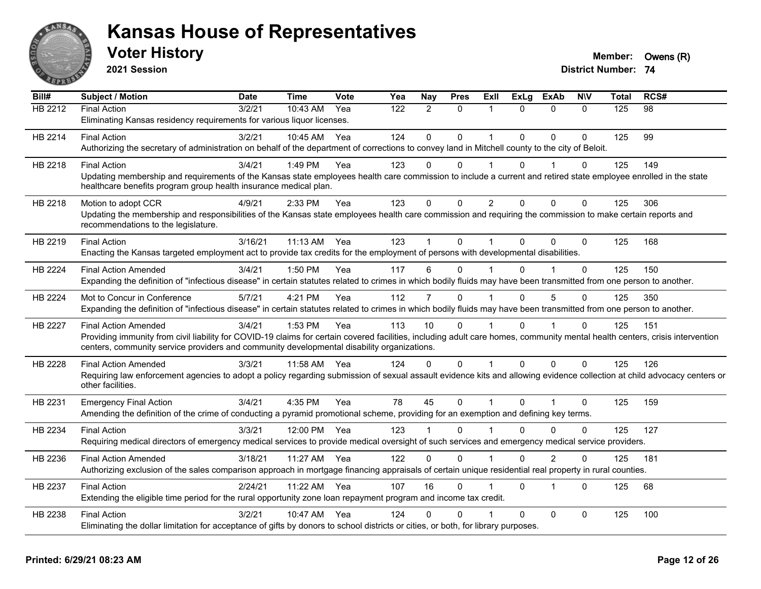

**2021 Session**

| Bill#   | <b>Subject / Motion</b>                                                                                                                                                      | <b>Date</b> | <b>Time</b> | Vote | Yea | Nay            | <b>Pres</b>  | ExII           | <b>ExLg</b>  | <b>ExAb</b>    | <b>NIV</b>   | <b>Total</b> | RCS# |
|---------|------------------------------------------------------------------------------------------------------------------------------------------------------------------------------|-------------|-------------|------|-----|----------------|--------------|----------------|--------------|----------------|--------------|--------------|------|
| HB 2212 | <b>Final Action</b>                                                                                                                                                          | 3/2/21      | 10:43 AM    | Yea  | 122 | 2              | $\mathbf{0}$ | 1              | $\Omega$     | $\mathbf{0}$   | $\Omega$     | 125          | 98   |
|         | Eliminating Kansas residency requirements for various liquor licenses.                                                                                                       |             |             |      |     |                |              |                |              |                |              |              |      |
| HB 2214 | <b>Final Action</b>                                                                                                                                                          | 3/2/21      | $10:45$ AM  | Yea  | 124 | $\Omega$       | $\Omega$     | 1              | $\Omega$     | $\Omega$       | $\Omega$     | 125          | 99   |
|         | Authorizing the secretary of administration on behalf of the department of corrections to convey land in Mitchell county to the city of Beloit.                              |             |             |      |     |                |              |                |              |                |              |              |      |
| HB 2218 | <b>Final Action</b>                                                                                                                                                          | 3/4/21      | 1:49 PM     | Yea  | 123 | $\Omega$       | $\Omega$     | 1              | 0            |                | 0            | 125          | 149  |
|         | Updating membership and requirements of the Kansas state employees health care commission to include a current and retired state employee enrolled in the state              |             |             |      |     |                |              |                |              |                |              |              |      |
|         | healthcare benefits program group health insurance medical plan.                                                                                                             |             |             |      |     |                |              |                |              |                |              |              |      |
| HB 2218 | Motion to adopt CCR                                                                                                                                                          | 4/9/21      | 2:33 PM     | Yea  | 123 | $\mathbf 0$    | 0            | $\overline{2}$ | $\mathbf{0}$ | $\Omega$       | $\mathbf 0$  | 125          | 306  |
|         | Updating the membership and responsibilities of the Kansas state employees health care commission and requiring the commission to make certain reports and                   |             |             |      |     |                |              |                |              |                |              |              |      |
|         | recommendations to the legislature.                                                                                                                                          |             |             |      |     |                |              |                |              |                |              |              |      |
| HB 2219 | <b>Final Action</b>                                                                                                                                                          | 3/16/21     | 11:13 AM    | Yea  | 123 |                | $\Omega$     |                | $\Omega$     | $\mathbf{0}$   | $\Omega$     | 125          | 168  |
|         | Enacting the Kansas targeted employment act to provide tax credits for the employment of persons with developmental disabilities.                                            |             |             |      |     |                |              |                |              |                |              |              |      |
| HB 2224 | <b>Final Action Amended</b>                                                                                                                                                  | 3/4/21      | 1:50 PM     | Yea  | 117 | 6              | 0            |                | $\Omega$     |                | 0            | 125          | 150  |
|         | Expanding the definition of "infectious disease" in certain statutes related to crimes in which bodily fluids may have been transmitted from one person to another.          |             |             |      |     |                |              |                |              |                |              |              |      |
| HB 2224 | Mot to Concur in Conference                                                                                                                                                  | 5/7/21      | 4:21 PM     | Yea  | 112 | 7              | $\Omega$     |                | $\Omega$     | 5              | $\Omega$     | 125          | 350  |
|         | Expanding the definition of "infectious disease" in certain statutes related to crimes in which bodily fluids may have been transmitted from one person to another.          |             |             |      |     |                |              |                |              |                |              |              |      |
| HB 2227 | <b>Final Action Amended</b>                                                                                                                                                  | 3/4/21      | 1:53 PM     | Yea  | 113 | 10             | 0            |                | 0            |                | $\Omega$     | 125          | 151  |
|         | Providing immunity from civil liability for COVID-19 claims for certain covered facilities, including adult care homes, community mental health centers, crisis intervention |             |             |      |     |                |              |                |              |                |              |              |      |
|         | centers, community service providers and community developmental disability organizations.                                                                                   |             |             |      |     |                |              |                |              |                |              |              |      |
| HB 2228 | <b>Final Action Amended</b>                                                                                                                                                  | 3/3/21      | 11:58 AM    | Yea  | 124 | $\overline{0}$ | $\Omega$     | $\overline{1}$ | $\mathbf{0}$ | $\mathbf{0}$   | $\Omega$     | 125          | 126  |
|         | Requiring law enforcement agencies to adopt a policy regarding submission of sexual assault evidence kits and allowing evidence collection at child advocacy centers or      |             |             |      |     |                |              |                |              |                |              |              |      |
|         | other facilities.                                                                                                                                                            |             |             |      |     |                |              |                |              |                |              |              |      |
| HB 2231 | <b>Emergency Final Action</b>                                                                                                                                                | 3/4/21      | 4:35 PM     | Yea  | 78  | 45             | $\mathbf 0$  | $\mathbf 1$    | $\Omega$     | $\overline{1}$ | $\mathbf{0}$ | 125          | 159  |
|         | Amending the definition of the crime of conducting a pyramid promotional scheme, providing for an exemption and defining key terms.                                          |             |             |      |     |                |              |                |              |                |              |              |      |
| HB 2234 | <b>Final Action</b>                                                                                                                                                          | 3/3/21      | 12:00 PM    | Yea  | 123 |                | 0            |                | U            | $\Omega$       | $\Omega$     | 125          | 127  |
|         | Requiring medical directors of emergency medical services to provide medical oversight of such services and emergency medical service providers.                             |             |             |      |     |                |              |                |              |                |              |              |      |
| HB 2236 | <b>Final Action Amended</b>                                                                                                                                                  | 3/18/21     | 11:27 AM    | Yea  | 122 | $\mathbf{0}$   | 0            | $\overline{1}$ | $\Omega$     | $\overline{2}$ | $\Omega$     | 125          | 181  |
|         | Authorizing exclusion of the sales comparison approach in mortgage financing appraisals of certain unique residential real property in rural counties.                       |             |             |      |     |                |              |                |              |                |              |              |      |
|         |                                                                                                                                                                              |             |             |      |     | 16             | $\Omega$     |                |              | 1              | $\Omega$     |              |      |
| HB 2237 | <b>Final Action</b><br>Extending the eligible time period for the rural opportunity zone loan repayment program and income tax credit.                                       | 2/24/21     | 11:22 AM    | Yea  | 107 |                |              |                | $\Omega$     |                |              | 125          | 68   |
|         |                                                                                                                                                                              |             |             |      |     |                |              |                |              |                |              |              |      |
| HB 2238 | <b>Final Action</b>                                                                                                                                                          | 3/2/21      | 10:47 AM    | Yea  | 124 | 0              | $\Omega$     |                | $\Omega$     | $\mathbf 0$    | $\Omega$     | 125          | 100  |
|         | Eliminating the dollar limitation for acceptance of gifts by donors to school districts or cities, or both, for library purposes.                                            |             |             |      |     |                |              |                |              |                |              |              |      |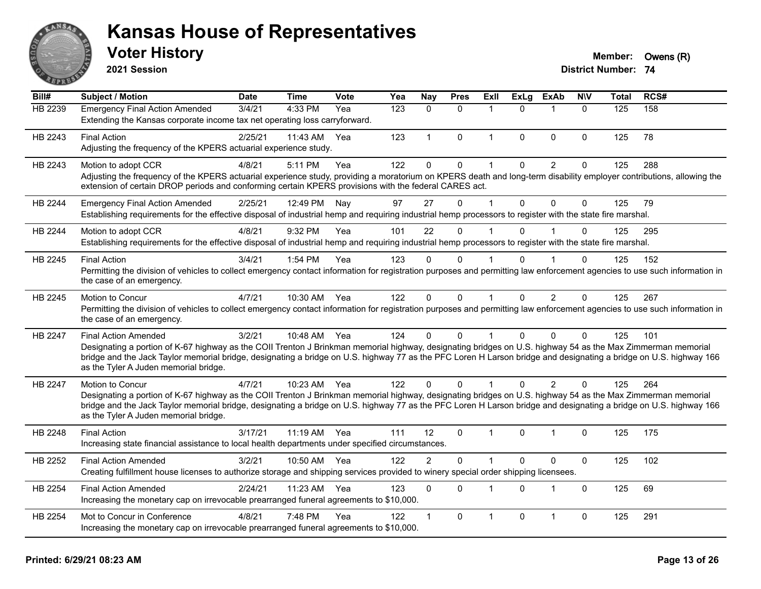

**2021 Session**

## **Voter History Member: Owens (R)**

| Bill#          | <b>Subject / Motion</b>                                                                                                                                                                                                                                                                                                                                                   | <b>Date</b> | <b>Time</b>  | <b>Vote</b> | Yea | Nay            | <b>Pres</b>  | Exll         | <b>ExLg</b> | <b>ExAb</b>    | <b>NIV</b>   | <b>Total</b> | RCS# |
|----------------|---------------------------------------------------------------------------------------------------------------------------------------------------------------------------------------------------------------------------------------------------------------------------------------------------------------------------------------------------------------------------|-------------|--------------|-------------|-----|----------------|--------------|--------------|-------------|----------------|--------------|--------------|------|
| HB 2239        | <b>Emergency Final Action Amended</b>                                                                                                                                                                                                                                                                                                                                     | 3/4/21      | 4:33 PM      | Yea         | 123 | $\mathbf{0}$   | $\mathbf{0}$ | 1            | $\Omega$    | -1             | $\mathbf{0}$ | 125          | 158  |
|                | Extending the Kansas corporate income tax net operating loss carryforward.                                                                                                                                                                                                                                                                                                |             |              |             |     |                |              |              |             |                |              |              |      |
| HB 2243        | <b>Final Action</b>                                                                                                                                                                                                                                                                                                                                                       | 2/25/21     | 11:43 AM     | Yea         | 123 | $\mathbf{1}$   | $\mathbf{0}$ | $\mathbf{1}$ | $\Omega$    | $\mathbf{0}$   | $\mathbf{0}$ | 125          | 78   |
|                | Adjusting the frequency of the KPERS actuarial experience study.                                                                                                                                                                                                                                                                                                          |             |              |             |     |                |              |              |             |                |              |              |      |
| HB 2243        | Motion to adopt CCR                                                                                                                                                                                                                                                                                                                                                       | 4/8/21      | 5:11 PM      | Yea         | 122 | $\mathbf 0$    | $\mathbf 0$  |              | $\Omega$    | $\overline{2}$ | 0            | 125          | 288  |
|                | Adjusting the frequency of the KPERS actuarial experience study, providing a moratorium on KPERS death and long-term disability employer contributions, allowing the<br>extension of certain DROP periods and conforming certain KPERS provisions with the federal CARES act.                                                                                             |             |              |             |     |                |              |              |             |                |              |              |      |
| <b>HB 2244</b> | <b>Emergency Final Action Amended</b>                                                                                                                                                                                                                                                                                                                                     | 2/25/21     | 12:49 PM     | Nay         | 97  | 27             | $\Omega$     | 1            | $\Omega$    | $\Omega$       | $\mathbf{0}$ | 125          | 79   |
|                | Establishing requirements for the effective disposal of industrial hemp and requiring industrial hemp processors to register with the state fire marshal.                                                                                                                                                                                                                 |             |              |             |     |                |              |              |             |                |              |              |      |
| <b>HB 2244</b> | Motion to adopt CCR                                                                                                                                                                                                                                                                                                                                                       | 4/8/21      | 9:32 PM      | Yea         | 101 | 22             | $\Omega$     |              | $\Omega$    |                | $\Omega$     | 125          | 295  |
|                | Establishing requirements for the effective disposal of industrial hemp and requiring industrial hemp processors to register with the state fire marshal.                                                                                                                                                                                                                 |             |              |             |     |                |              |              |             |                |              |              |      |
| HB 2245        | <b>Final Action</b>                                                                                                                                                                                                                                                                                                                                                       | 3/4/21      | 1:54 PM      | Yea         | 123 | $\Omega$       | $\Omega$     |              | U           |                | 0            | 125          | 152  |
|                | Permitting the division of vehicles to collect emergency contact information for registration purposes and permitting law enforcement agencies to use such information in<br>the case of an emergency.                                                                                                                                                                    |             |              |             |     |                |              |              |             |                |              |              |      |
| HB 2245        | Motion to Concur                                                                                                                                                                                                                                                                                                                                                          | 4/7/21      | 10:30 AM     | Yea         | 122 | $\Omega$       | $\mathbf{0}$ | $\mathbf{1}$ | $\Omega$    | 2              | $\Omega$     | 125          | 267  |
|                | Permitting the division of vehicles to collect emergency contact information for registration purposes and permitting law enforcement agencies to use such information in<br>the case of an emergency.                                                                                                                                                                    |             |              |             |     |                |              |              |             |                |              |              |      |
| HB 2247        | <b>Final Action Amended</b>                                                                                                                                                                                                                                                                                                                                               | 3/2/21      | 10:48 AM Yea |             | 124 | $\Omega$       | $\mathbf{0}$ | 1            | $\Omega$    | $\mathbf{0}$   | $\Omega$     | 125          | 101  |
|                | Designating a portion of K-67 highway as the COII Trenton J Brinkman memorial highway, designating bridges on U.S. highway 54 as the Max Zimmerman memorial<br>bridge and the Jack Taylor memorial bridge, designating a bridge on U.S. highway 77 as the PFC Loren H Larson bridge and designating a bridge on U.S. highway 166<br>as the Tyler A Juden memorial bridge. |             |              |             |     |                |              |              |             |                |              |              |      |
| <b>HB 2247</b> | Motion to Concur                                                                                                                                                                                                                                                                                                                                                          | 4/7/21      | 10:23 AM Yea |             | 122 | $\Omega$       | $\Omega$     |              | $\Omega$    | $\mathcal{P}$  | $\Omega$     | 125          | 264  |
|                | Designating a portion of K-67 highway as the COII Trenton J Brinkman memorial highway, designating bridges on U.S. highway 54 as the Max Zimmerman memorial                                                                                                                                                                                                               |             |              |             |     |                |              |              |             |                |              |              |      |
|                | bridge and the Jack Taylor memorial bridge, designating a bridge on U.S. highway 77 as the PFC Loren H Larson bridge and designating a bridge on U.S. highway 166<br>as the Tyler A Juden memorial bridge.                                                                                                                                                                |             |              |             |     |                |              |              |             |                |              |              |      |
| HB 2248        | <b>Final Action</b><br>Increasing state financial assistance to local health departments under specified circumstances.                                                                                                                                                                                                                                                   | 3/17/21     | 11:19 AM Yea |             | 111 | 12             | $\mathbf{0}$ | 1            | $\Omega$    | $\mathbf{1}$   | 0            | 125          | 175  |
|                |                                                                                                                                                                                                                                                                                                                                                                           |             |              |             |     |                |              |              |             |                |              |              |      |
| HB 2252        | <b>Final Action Amended</b><br>Creating fulfillment house licenses to authorize storage and shipping services provided to winery special order shipping licensees.                                                                                                                                                                                                        | 3/2/21      | 10:50 AM     | Yea         | 122 | $\overline{c}$ | $\mathbf{0}$ | 1            | $\Omega$    | $\mathbf 0$    | $\pmb{0}$    | 125          | 102  |
| HB 2254        | <b>Final Action Amended</b>                                                                                                                                                                                                                                                                                                                                               | 2/24/21     | 11:23 AM     | Yea         | 123 | $\mathbf{0}$   | $\mathbf{0}$ | 1            | $\Omega$    | $\mathbf 1$    | $\Omega$     | 125          | 69   |
|                | Increasing the monetary cap on irrevocable prearranged funeral agreements to \$10,000.                                                                                                                                                                                                                                                                                    |             |              |             |     |                |              |              |             |                |              |              |      |
| HB 2254        | Mot to Concur in Conference                                                                                                                                                                                                                                                                                                                                               | 4/8/21      | 7:48 PM      | Yea         | 122 |                | $\mathbf{0}$ | 1            | $\Omega$    | $\overline{1}$ | 0            | 125          | 291  |
|                | Increasing the monetary cap on irrevocable prearranged funeral agreements to \$10,000.                                                                                                                                                                                                                                                                                    |             |              |             |     |                |              |              |             |                |              |              |      |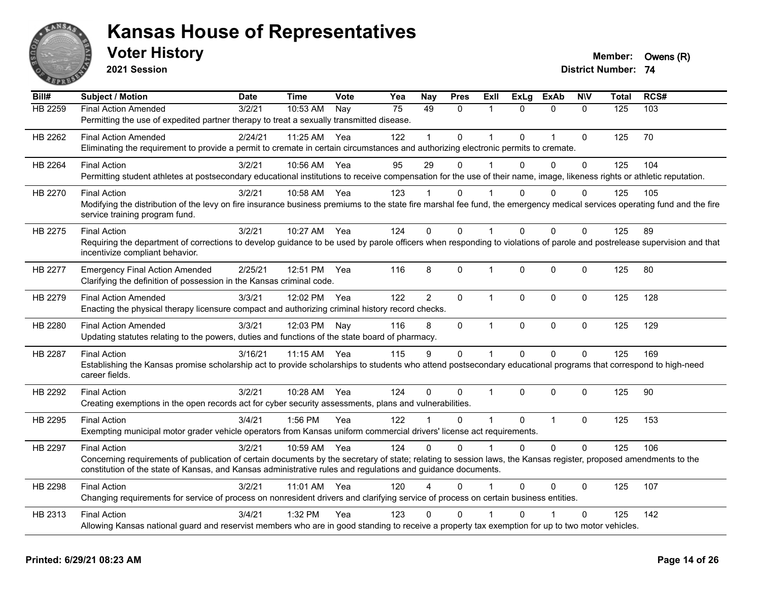

**2021 Session**

| Bill#          | <b>Subject / Motion</b>                                                                                                                                                                                                                                                          | <b>Date</b> | <b>Time</b>  | Vote | Yea             | <b>Nay</b>     | <b>Pres</b>  | Exll         | <b>ExLg</b>  | <b>ExAb</b>    | <b>NIV</b>   | <b>Total</b> | RCS# |
|----------------|----------------------------------------------------------------------------------------------------------------------------------------------------------------------------------------------------------------------------------------------------------------------------------|-------------|--------------|------|-----------------|----------------|--------------|--------------|--------------|----------------|--------------|--------------|------|
| <b>HB 2259</b> | <b>Final Action Amended</b>                                                                                                                                                                                                                                                      | 3/2/21      | 10:53 AM     | Nay  | $\overline{75}$ | 49             | $\mathbf{0}$ | $\mathbf{1}$ | $\Omega$     | $\mathbf{0}$   | $\mathbf{0}$ | 125          | 103  |
|                | Permitting the use of expedited partner therapy to treat a sexually transmitted disease.                                                                                                                                                                                         |             |              |      |                 |                |              |              |              |                |              |              |      |
| HB 2262        | <b>Final Action Amended</b>                                                                                                                                                                                                                                                      | 2/24/21     | 11:25 AM     | Yea  | 122             | 1              | $\Omega$     | $\mathbf 1$  | $\Omega$     | $\overline{1}$ | $\mathbf 0$  | 125          | 70   |
|                | Eliminating the requirement to provide a permit to cremate in certain circumstances and authorizing electronic permits to cremate.                                                                                                                                               |             |              |      |                 |                |              |              |              |                |              |              |      |
| HB 2264        | <b>Final Action</b>                                                                                                                                                                                                                                                              | 3/2/21      | 10:56 AM     | Yea  | 95              | 29             | $\Omega$     | 1            | $\Omega$     | $\Omega$       | 0            | 125          | 104  |
|                | Permitting student athletes at postsecondary educational institutions to receive compensation for the use of their name, image, likeness rights or athletic reputation.                                                                                                          |             |              |      |                 |                |              |              |              |                |              |              |      |
| HB 2270        | <b>Final Action</b>                                                                                                                                                                                                                                                              | 3/2/21      | 10:58 AM     | Yea  | 123             |                | 0            |              | 0            | $\Omega$       | 0            | 125          | 105  |
|                | Modifying the distribution of the levy on fire insurance business premiums to the state fire marshal fee fund, the emergency medical services operating fund and the fire                                                                                                        |             |              |      |                 |                |              |              |              |                |              |              |      |
|                | service training program fund.                                                                                                                                                                                                                                                   |             |              |      |                 |                |              |              |              |                |              |              |      |
| HB 2275        | <b>Final Action</b>                                                                                                                                                                                                                                                              | 3/2/21      | 10:27 AM Yea |      | 124             | $\Omega$       | $\Omega$     | 1            | $\Omega$     | $\Omega$       | 0            | 125          | 89   |
|                | Requiring the department of corrections to develop guidance to be used by parole officers when responding to violations of parole and postrelease supervision and that                                                                                                           |             |              |      |                 |                |              |              |              |                |              |              |      |
|                | incentivize compliant behavior.                                                                                                                                                                                                                                                  |             |              |      |                 |                |              |              |              |                |              |              |      |
| HB 2277        | <b>Emergency Final Action Amended</b>                                                                                                                                                                                                                                            | 2/25/21     | 12:51 PM     | Yea  | 116             | 8              | 0            | $\mathbf{1}$ | $\mathbf 0$  | 0              | 0            | 125          | 80   |
|                | Clarifying the definition of possession in the Kansas criminal code.                                                                                                                                                                                                             |             |              |      |                 |                |              |              |              |                |              |              |      |
| HB 2279        | <b>Final Action Amended</b>                                                                                                                                                                                                                                                      | 3/3/21      | 12:02 PM     | Yea  | 122             | $\overline{2}$ | $\mathbf{0}$ | $\mathbf{1}$ | $\Omega$     | $\mathbf{0}$   | $\mathbf 0$  | 125          | 128  |
|                | Enacting the physical therapy licensure compact and authorizing criminal history record checks.                                                                                                                                                                                  |             |              |      |                 |                |              |              |              |                |              |              |      |
| HB 2280        | <b>Final Action Amended</b>                                                                                                                                                                                                                                                      | 3/3/21      | 12:03 PM     | Nay  | 116             | 8              | $\mathbf 0$  | $\mathbf{1}$ | $\mathbf 0$  | $\mathbf 0$    | $\mathbf 0$  | 125          | 129  |
|                | Updating statutes relating to the powers, duties and functions of the state board of pharmacy.                                                                                                                                                                                   |             |              |      |                 |                |              |              |              |                |              |              |      |
| HB 2287        | <b>Final Action</b>                                                                                                                                                                                                                                                              | 3/16/21     | 11:15 AM     | Yea  | 115             | 9              | $\mathbf 0$  | $\mathbf{1}$ | $\mathbf{0}$ | $\mathbf 0$    | 0            | 125          | 169  |
|                | Establishing the Kansas promise scholarship act to provide scholarships to students who attend postsecondary educational programs that correspond to high-need                                                                                                                   |             |              |      |                 |                |              |              |              |                |              |              |      |
|                | career fields.                                                                                                                                                                                                                                                                   |             |              |      |                 |                |              |              |              |                |              |              |      |
| HB 2292        | <b>Final Action</b>                                                                                                                                                                                                                                                              | 3/2/21      | 10:28 AM     | Yea  | 124             | $\Omega$       | $\Omega$     | $\mathbf 1$  | $\Omega$     | $\Omega$       | 0            | 125          | 90   |
|                | Creating exemptions in the open records act for cyber security assessments, plans and vulnerabilities.                                                                                                                                                                           |             |              |      |                 |                |              |              |              |                |              |              |      |
|                |                                                                                                                                                                                                                                                                                  |             |              |      |                 | $\mathbf 1$    |              | $\mathbf{1}$ |              |                |              |              |      |
| HB 2295        | <b>Final Action</b><br>Exempting municipal motor grader vehicle operators from Kansas uniform commercial drivers' license act requirements.                                                                                                                                      | 3/4/21      | 1:56 PM      | Yea  | 122             |                | $\Omega$     |              | $\mathbf{0}$ | $\mathbf{1}$   | $\mathbf 0$  | 125          | 153  |
|                |                                                                                                                                                                                                                                                                                  |             |              |      |                 |                |              |              |              |                |              |              |      |
| HB 2297        | <b>Final Action</b>                                                                                                                                                                                                                                                              | 3/2/21      | 10:59 AM     | Yea  | 124             | $\Omega$       | $\Omega$     | $\mathbf{1}$ | $\Omega$     | $\mathbf 0$    | 0            | 125          | 106  |
|                | Concerning requirements of publication of certain documents by the secretary of state; relating to session laws, the Kansas register, proposed amendments to the<br>constitution of the state of Kansas, and Kansas administrative rules and regulations and guidance documents. |             |              |      |                 |                |              |              |              |                |              |              |      |
|                |                                                                                                                                                                                                                                                                                  |             |              |      |                 |                |              |              |              |                |              |              |      |
| HB 2298        | <b>Final Action</b>                                                                                                                                                                                                                                                              | 3/2/21      | 11:01 AM Yea |      | 120             | Δ              | $\mathbf{0}$ | 1            | $\mathbf{0}$ | 0              | 0            | 125          | 107  |
|                | Changing requirements for service of process on nonresident drivers and clarifying service of process on certain business entities.                                                                                                                                              |             |              |      |                 |                |              |              |              |                |              |              |      |
| HB 2313        | <b>Final Action</b>                                                                                                                                                                                                                                                              | 3/4/21      | 1:32 PM      | Yea  | 123             | $\Omega$       | 0            |              | $\Omega$     |                | 0            | 125          | 142  |
|                | Allowing Kansas national guard and reservist members who are in good standing to receive a property tax exemption for up to two motor vehicles.                                                                                                                                  |             |              |      |                 |                |              |              |              |                |              |              |      |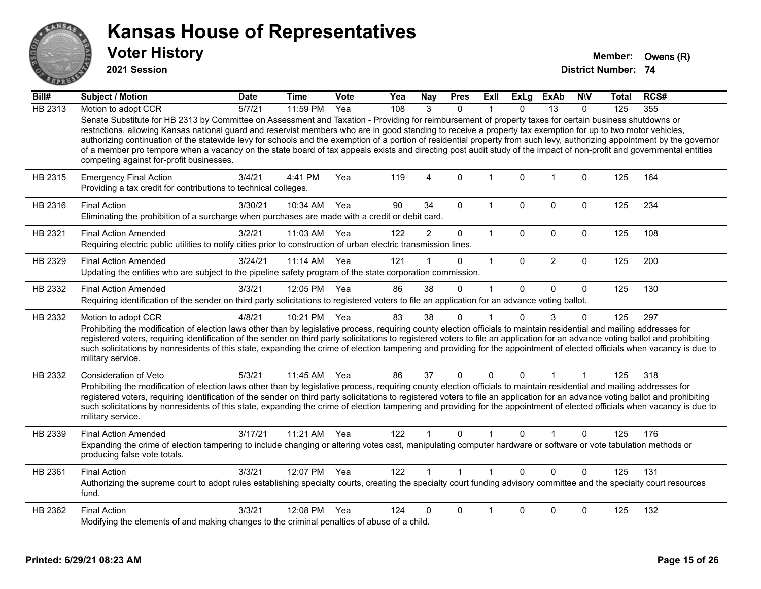

**2021 Session**

| Bill#   | Subject / Motion                                                                                                                                                                                                                                                                                                                                                                                                                                                                                                                                                                                                                                                                                                          | <b>Date</b> | <b>Time</b>  | <b>Vote</b> | Yea | <b>Nay</b>              | <b>Pres</b>  | ExII           | ExLg         | <b>ExAb</b>    | <b>NIV</b>   | Total | RCS# |
|---------|---------------------------------------------------------------------------------------------------------------------------------------------------------------------------------------------------------------------------------------------------------------------------------------------------------------------------------------------------------------------------------------------------------------------------------------------------------------------------------------------------------------------------------------------------------------------------------------------------------------------------------------------------------------------------------------------------------------------------|-------------|--------------|-------------|-----|-------------------------|--------------|----------------|--------------|----------------|--------------|-------|------|
| HB 2313 | Motion to adopt CCR                                                                                                                                                                                                                                                                                                                                                                                                                                                                                                                                                                                                                                                                                                       | 5/7/21      | 11:59 PM     | Yea         | 108 | 3                       | $\Omega$     |                | <sup>0</sup> | 13             | $\Omega$     | 125   | 355  |
|         | Senate Substitute for HB 2313 by Committee on Assessment and Taxation - Providing for reimbursement of property taxes for certain business shutdowns or<br>restrictions, allowing Kansas national guard and reservist members who are in good standing to receive a property tax exemption for up to two motor vehicles,<br>authorizing continuation of the statewide levy for schools and the exemption of a portion of residential property from such levy, authorizing appointment by the governor<br>of a member pro tempore when a vacancy on the state board of tax appeals exists and directing post audit study of the impact of non-profit and governmental entities<br>competing against for-profit businesses. |             |              |             |     |                         |              |                |              |                |              |       |      |
| HB 2315 | <b>Emergency Final Action</b><br>Providing a tax credit for contributions to technical colleges.                                                                                                                                                                                                                                                                                                                                                                                                                                                                                                                                                                                                                          | 3/4/21      | 4:41 PM      | Yea         | 119 | $\overline{\mathbf{4}}$ | $\Omega$     | $\mathbf{1}$   | $\Omega$     | $\overline{1}$ | $\mathbf 0$  | 125   | 164  |
| HB 2316 | <b>Final Action</b><br>Eliminating the prohibition of a surcharge when purchases are made with a credit or debit card.                                                                                                                                                                                                                                                                                                                                                                                                                                                                                                                                                                                                    | 3/30/21     | 10:34 AM     | Yea         | 90  | 34                      | 0            | $\mathbf{1}$   | 0            | $\mathbf 0$    | $\mathbf 0$  | 125   | 234  |
| HB 2321 | <b>Final Action Amended</b><br>Requiring electric public utilities to notify cities prior to construction of urban electric transmission lines.                                                                                                                                                                                                                                                                                                                                                                                                                                                                                                                                                                           | 3/2/21      | 11:03 AM     | Yea         | 122 | $\overline{2}$          | 0            | $\mathbf{1}$   | $\mathbf 0$  | $\mathbf 0$    | $\mathbf 0$  | 125   | 108  |
| HB 2329 | <b>Final Action Amended</b><br>Updating the entities who are subject to the pipeline safety program of the state corporation commission.                                                                                                                                                                                                                                                                                                                                                                                                                                                                                                                                                                                  | 3/24/21     | $11:14$ AM   | Yea         | 121 |                         | 0            | $\mathbf{1}$   | $\mathbf{0}$ | 2              | $\mathbf 0$  | 125   | 200  |
| HB 2332 | <b>Final Action Amended</b><br>Requiring identification of the sender on third party solicitations to registered voters to file an application for an advance voting ballot.                                                                                                                                                                                                                                                                                                                                                                                                                                                                                                                                              | 3/3/21      | 12:05 PM Yea |             | 86  | 38                      | $\Omega$     | 1              | $\Omega$     | $\mathbf{0}$   | $\mathbf{0}$ | 125   | 130  |
| HB 2332 | Motion to adopt CCR<br>Prohibiting the modification of election laws other than by legislative process, requiring county election officials to maintain residential and mailing addresses for<br>registered voters, requiring identification of the sender on third party solicitations to registered voters to file an application for an advance voting ballot and prohibiting<br>such solicitations by nonresidents of this state, expanding the crime of election tampering and providing for the appointment of elected officials when vacancy is due to<br>military service.                                                                                                                                        | 4/8/21      | 10:21 PM Yea |             | 83  | 38                      | $\Omega$     |                | $\Omega$     | 3              | $\Omega$     | 125   | 297  |
| HB 2332 | Consideration of Veto<br>Prohibiting the modification of election laws other than by legislative process, requiring county election officials to maintain residential and mailing addresses for<br>registered voters, requiring identification of the sender on third party solicitations to registered voters to file an application for an advance voting ballot and prohibiting<br>such solicitations by nonresidents of this state, expanding the crime of election tampering and providing for the appointment of elected officials when vacancy is due to<br>military service.                                                                                                                                      | 5/3/21      | 11:45 AM     | Yea         | 86  | 37                      | 0            | 0              | $\Omega$     |                | 1            | 125   | 318  |
| HB 2339 | <b>Final Action Amended</b><br>Expanding the crime of election tampering to include changing or altering votes cast, manipulating computer hardware or software or vote tabulation methods or<br>producing false vote totals.                                                                                                                                                                                                                                                                                                                                                                                                                                                                                             | 3/17/21     | 11:21 AM     | Yea         | 122 |                         | $\Omega$     | $\overline{1}$ | $\Omega$     |                | $\Omega$     | 125   | 176  |
| HB 2361 | <b>Final Action</b><br>Authorizing the supreme court to adopt rules establishing specialty courts, creating the specialty court funding advisory committee and the specialty court resources<br>fund.                                                                                                                                                                                                                                                                                                                                                                                                                                                                                                                     | 3/3/21      | 12:07 PM Yea |             | 122 |                         | $\mathbf{1}$ | 1              | $\Omega$     | $\Omega$       | $\Omega$     | 125   | 131  |
| HB 2362 | <b>Final Action</b><br>Modifying the elements of and making changes to the criminal penalties of abuse of a child.                                                                                                                                                                                                                                                                                                                                                                                                                                                                                                                                                                                                        | 3/3/21      | 12:08 PM     | Yea         | 124 | 0                       | 0            | 1              | 0            | $\Omega$       | 0            | 125   | 132  |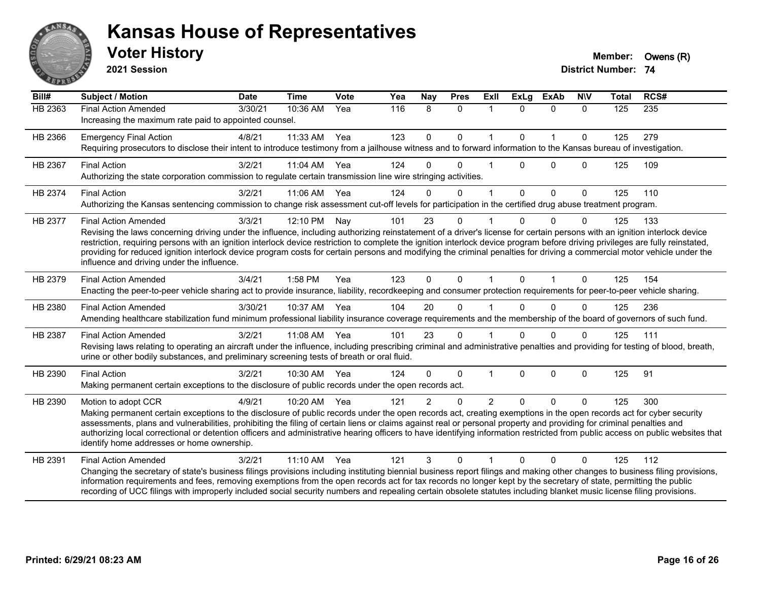

**2021 Session**

| Bill#          | <b>Subject / Motion</b>                                                                                                                                                                                                                                                                                                                                                                                                                                                                                                                                                                                             | <b>Date</b> | <b>Time</b> | Vote | Yea | Nay            | <b>Pres</b>  | <b>Exll</b>    | <b>ExLg</b>  | <b>ExAb</b>  | <b>NIV</b>   | Total | RCS# |
|----------------|---------------------------------------------------------------------------------------------------------------------------------------------------------------------------------------------------------------------------------------------------------------------------------------------------------------------------------------------------------------------------------------------------------------------------------------------------------------------------------------------------------------------------------------------------------------------------------------------------------------------|-------------|-------------|------|-----|----------------|--------------|----------------|--------------|--------------|--------------|-------|------|
| <b>HB 2363</b> | <b>Final Action Amended</b><br>Increasing the maximum rate paid to appointed counsel.                                                                                                                                                                                                                                                                                                                                                                                                                                                                                                                               | 3/30/21     | 10:36 AM    | Yea  | 116 | 8              | $\mathbf{0}$ | $\mathbf 1$    | $\Omega$     | $\mathbf{0}$ | $\Omega$     | 125   | 235  |
| HB 2366        | <b>Emergency Final Action</b><br>Requiring prosecutors to disclose their intent to introduce testimony from a jailhouse witness and to forward information to the Kansas bureau of investigation.                                                                                                                                                                                                                                                                                                                                                                                                                   | 4/8/21      | 11:33 AM    | Yea  | 123 | $\mathbf 0$    | $\mathbf 0$  | $\mathbf{1}$   | $\Omega$     | $\mathbf{1}$ | $\mathbf{0}$ | 125   | 279  |
| HB 2367        | <b>Final Action</b><br>Authorizing the state corporation commission to regulate certain transmission line wire stringing activities.                                                                                                                                                                                                                                                                                                                                                                                                                                                                                | 3/2/21      | 11:04 AM    | Yea  | 124 | 0              | $\Omega$     |                | $\Omega$     | $\mathbf 0$  | $\Omega$     | 125   | 109  |
| HB 2374        | <b>Final Action</b><br>Authorizing the Kansas sentencing commission to change risk assessment cut-off levels for participation in the certified drug abuse treatment program.                                                                                                                                                                                                                                                                                                                                                                                                                                       | 3/2/21      | 11:06 AM    | Yea  | 124 | $\Omega$       | $\mathbf{0}$ | $\overline{1}$ | $\mathbf{0}$ | $\mathbf{0}$ | $\mathbf 0$  | 125   | 110  |
| HB 2377        | <b>Final Action Amended</b><br>Revising the laws concerning driving under the influence, including authorizing reinstatement of a driver's license for certain persons with an ignition interlock device<br>restriction, requiring persons with an ignition interlock device restriction to complete the ignition interlock device program before driving privileges are fully reinstated,<br>providing for reduced ignition interlock device program costs for certain persons and modifying the criminal penalties for driving a commercial motor vehicle under the<br>influence and driving under the influence. | 3/3/21      | 12:10 PM    | Nay  | 101 | 23             | 0            |                | $\Omega$     | $\Omega$     | $\Omega$     | 125   | 133  |
| HB 2379        | <b>Final Action Amended</b><br>Enacting the peer-to-peer vehicle sharing act to provide insurance, liability, recordkeeping and consumer protection requirements for peer-to-peer vehicle sharing.                                                                                                                                                                                                                                                                                                                                                                                                                  | 3/4/21      | 1:58 PM     | Yea  | 123 | $\Omega$       | $\mathbf{0}$ | $\mathbf{1}$   | $\mathbf{0}$ | 1            | $\Omega$     | 125   | 154  |
| HB 2380        | <b>Final Action Amended</b><br>Amending healthcare stabilization fund minimum professional liability insurance coverage requirements and the membership of the board of governors of such fund.                                                                                                                                                                                                                                                                                                                                                                                                                     | 3/30/21     | 10:37 AM    | Yea  | 104 | 20             | $\Omega$     |                | $\Omega$     | $\Omega$     | 0            | 125   | 236  |
| HB 2387        | <b>Final Action Amended</b><br>Revising laws relating to operating an aircraft under the influence, including prescribing criminal and administrative penalties and providing for testing of blood, breath,<br>urine or other bodily substances, and preliminary screening tests of breath or oral fluid.                                                                                                                                                                                                                                                                                                           | 3/2/21      | 11:08 AM    | Yea  | 101 | 23             | $\Omega$     |                | $\Omega$     | $\Omega$     | $\Omega$     | 125   | 111  |
| HB 2390        | <b>Final Action</b><br>Making permanent certain exceptions to the disclosure of public records under the open records act.                                                                                                                                                                                                                                                                                                                                                                                                                                                                                          | 3/2/21      | 10:30 AM    | Yea  | 124 | $\Omega$       | $\mathbf 0$  | 1              | $\mathbf{0}$ | $\mathbf 0$  | $\mathbf 0$  | 125   | 91   |
| HB 2390        | Motion to adopt CCR<br>Making permanent certain exceptions to the disclosure of public records under the open records act, creating exemptions in the open records act for cyber security<br>assessments, plans and vulnerabilities, prohibiting the filing of certain liens or claims against real or personal property and providing for criminal penalties and<br>authorizing local correctional or detention officers and administrative hearing officers to have identifying information restricted from public access on public websites that<br>identify home addresses or home ownership.                   | 4/9/21      | 10:20 AM    | Yea  | 121 | $\overline{2}$ | $\mathbf{0}$ | $\overline{2}$ | $\Omega$     | $\Omega$     | $\mathbf{0}$ | 125   | 300  |
| HB 2391        | <b>Final Action Amended</b><br>Changing the secretary of state's business filings provisions including instituting biennial business report filings and making other changes to business filing provisions,<br>information requirements and fees, removing exemptions from the open records act for tax records no longer kept by the secretary of state, permitting the public<br>recording of UCC filings with improperly included social security numbers and repealing certain obsolete statutes including blanket music license filing provisions.                                                             | 3/2/21      | 11:10 AM    | Yea  | 121 | 3              | 0            |                | 0            | 0            | 0            | 125   | 112  |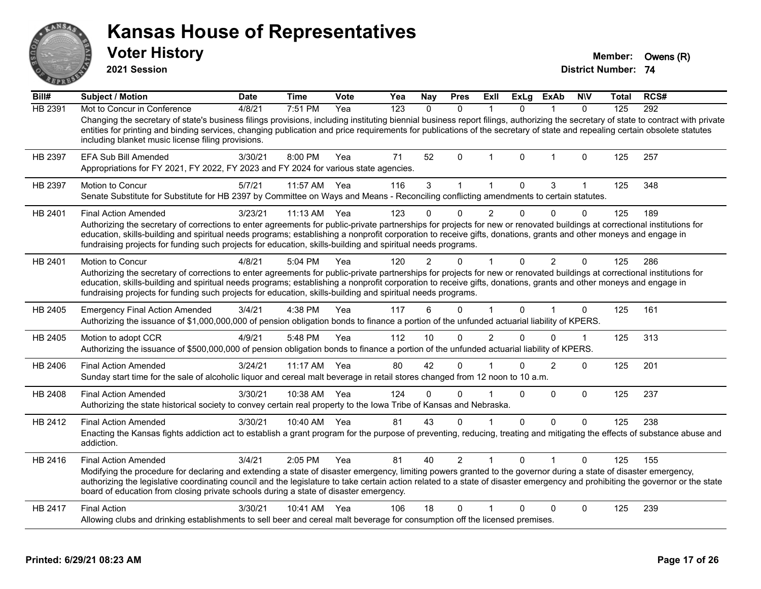| ANSAR   | <b>Kansas House of Representatives</b><br><b>Voter History</b><br>2021 Session                                                                                                                                                                                                                                                                                                                                                                                                              |             |              |      |     |               |              |                |                |                |              | Member:<br><b>District Number: 74</b> | Owens (R) |
|---------|---------------------------------------------------------------------------------------------------------------------------------------------------------------------------------------------------------------------------------------------------------------------------------------------------------------------------------------------------------------------------------------------------------------------------------------------------------------------------------------------|-------------|--------------|------|-----|---------------|--------------|----------------|----------------|----------------|--------------|---------------------------------------|-----------|
| Bill#   | <b>Subject / Motion</b>                                                                                                                                                                                                                                                                                                                                                                                                                                                                     | <b>Date</b> | <b>Time</b>  | Vote | Yea | <b>Nay</b>    | <b>Pres</b>  | <b>ExII</b>    | <b>ExLg</b>    | <b>ExAb</b>    | <b>NIV</b>   | Total                                 | RCS#      |
| HB 2391 | Mot to Concur in Conference<br>Changing the secretary of state's business filings provisions, including instituting biennial business report filings, authorizing the secretary of state to contract with private<br>entities for printing and binding services, changing publication and price requirements for publications of the secretary of state and repealing certain obsolete statutes<br>including blanket music license filing provisions.                                       | 4/8/21      | 7:51 PM      | Yea  | 123 | $\mathbf{0}$  | $\mathbf{0}$ | $\mathbf{1}$   | $\mathbf{0}$   | $\mathbf{1}$   | $\mathbf{0}$ | 125                                   | 292       |
| HB 2397 | <b>EFA Sub Bill Amended</b><br>Appropriations for FY 2021, FY 2022, FY 2023 and FY 2024 for various state agencies.                                                                                                                                                                                                                                                                                                                                                                         | 3/30/21     | 8:00 PM      | Yea  | 71  | 52            | $\pmb{0}$    | $\mathbf 1$    | 0              | $\mathbf 1$    | $\mathbf 0$  | 125                                   | 257       |
| HB 2397 | <b>Motion to Concur</b><br>Senate Substitute for Substitute for HB 2397 by Committee on Ways and Means - Reconciling conflicting amendments to certain statutes.                                                                                                                                                                                                                                                                                                                            | 5/7/21      | 11:57 AM     | Yea  | 116 | 3             | $\mathbf{1}$ | $\mathbf{1}$   | $\Omega$       | 3              | $\mathbf{1}$ | 125                                   | 348       |
| HB 2401 | <b>Final Action Amended</b><br>Authorizing the secretary of corrections to enter agreements for public-private partnerships for projects for new or renovated buildings at correctional institutions for<br>education, skills-building and spiritual needs programs; establishing a nonprofit corporation to receive gifts, donations, grants and other moneys and engage in<br>fundraising projects for funding such projects for education, skills-building and spiritual needs programs. | 3/23/21     | 11:13 AM     | Yea  | 123 | 0             | $\Omega$     | $\overline{2}$ | $\Omega$       | $\Omega$       | $\Omega$     | 125                                   | 189       |
| HB 2401 | <b>Motion to Concur</b><br>Authorizing the secretary of corrections to enter agreements for public-private partnerships for projects for new or renovated buildings at correctional institutions for<br>education, skills-building and spiritual needs programs; establishing a nonprofit corporation to receive gifts, donations, grants and other moneys and engage in<br>fundraising projects for funding such projects for education, skills-building and spiritual needs programs.     | 4/8/21      | 5:04 PM      | Yea  | 120 | $\mathcal{P}$ | $\Omega$     |                | $\overline{0}$ | $\overline{2}$ | $\mathbf 0$  | 125                                   | 286       |
| HB 2405 | <b>Emergency Final Action Amended</b><br>Authorizing the issuance of \$1,000,000,000 of pension obligation bonds to finance a portion of the unfunded actuarial liability of KPERS.                                                                                                                                                                                                                                                                                                         | 3/4/21      | 4:38 PM      | Yea  | 117 | 6             | $\Omega$     |                | $\Omega$       | $\mathbf{1}$   | $\Omega$     | 125                                   | 161       |
| HB 2405 | Motion to adopt CCR<br>Authorizing the issuance of \$500,000,000 of pension obligation bonds to finance a portion of the unfunded actuarial liability of KPERS.                                                                                                                                                                                                                                                                                                                             | 4/9/21      | 5:48 PM      | Yea  | 112 | 10            | $\Omega$     | $\mathfrak{p}$ | $\Omega$       | $\Omega$       | $\mathbf 1$  | 125                                   | 313       |
| HB 2406 | <b>Final Action Amended</b><br>Sunday start time for the sale of alcoholic liquor and cereal malt beverage in retail stores changed from 12 noon to 10 a.m.                                                                                                                                                                                                                                                                                                                                 | 3/24/21     | 11:17 AM     | Yea  | 80  | 42            | $\Omega$     |                | $\Omega$       | $\overline{2}$ | $\mathbf{0}$ | 125                                   | 201       |
| HB 2408 | <b>Final Action Amended</b><br>Authorizing the state historical society to convey certain real property to the lowa Tribe of Kansas and Nebraska.                                                                                                                                                                                                                                                                                                                                           | 3/30/21     | 10:38 AM     | Yea  | 124 | $\Omega$      | $\Omega$     |                | $\Omega$       | $\mathbf{0}$   | $\Omega$     | 125                                   | 237       |
| HB 2412 | <b>Final Action Amended</b><br>Enacting the Kansas fights addiction act to establish a grant program for the purpose of preventing, reducing, treating and mitigating the effects of substance abuse and<br>addiction.                                                                                                                                                                                                                                                                      | 3/30/21     | 10:40 AM     | Yea  | 81  | 43            | $\mathbf{0}$ | 1              | 0              | 0              | $\Omega$     | 125                                   | 238       |
| HB 2416 | <b>Final Action Amended</b><br>Modifying the procedure for declaring and extending a state of disaster emergency, limiting powers granted to the governor during a state of disaster emergency,<br>authorizing the legislative coordinating council and the legislature to take certain action related to a state of disaster emergency and prohibiting the governor or the state<br>board of education from closing private schools during a state of disaster emergency.                  | 3/4/21      | 2:05 PM      | Yea  | 81  | 40            | 2            |                | $\Omega$       | 1              | $\mathbf{0}$ | 125                                   | 155       |
| HB 2417 | <b>Final Action</b><br>Allowing clubs and drinking establishments to sell beer and cereal malt beverage for consumption off the licensed premises.                                                                                                                                                                                                                                                                                                                                          | 3/30/21     | 10:41 AM Yea |      | 106 | 18            | $\mathbf{0}$ |                | 0              | $\mathbf{0}$   | $\mathbf 0$  | 125                                   | 239       |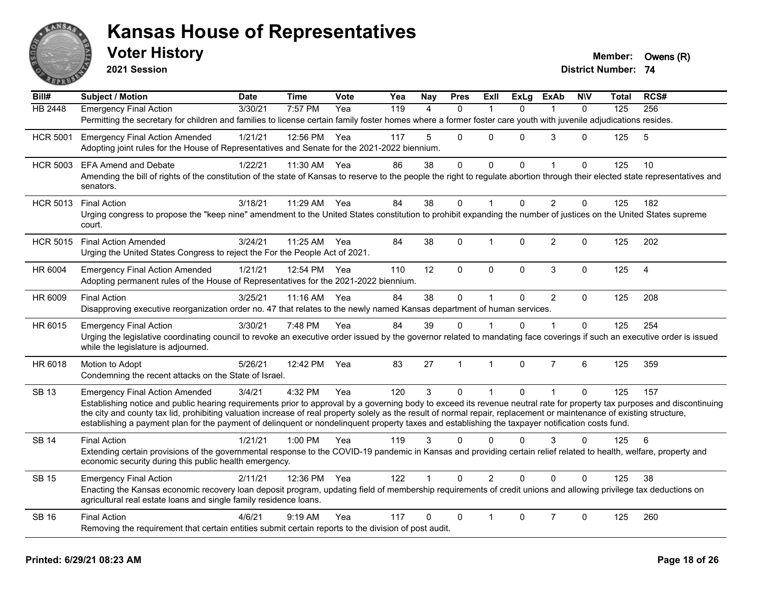

**2021 Session**

| Bill#           | <b>Subject / Motion</b>                                                                                                                                                                                                                                                                                                   | <b>Date</b> | <b>Time</b>  | Vote | Yea | Nay            | <b>Pres</b>  | <b>Exll</b>    | <b>ExLg</b>  | <b>ExAb</b>    | <b>NIV</b>     | Total | RCS#           |
|-----------------|---------------------------------------------------------------------------------------------------------------------------------------------------------------------------------------------------------------------------------------------------------------------------------------------------------------------------|-------------|--------------|------|-----|----------------|--------------|----------------|--------------|----------------|----------------|-------|----------------|
| <b>HB 2448</b>  | <b>Emergency Final Action</b>                                                                                                                                                                                                                                                                                             | 3/30/21     | 7:57 PM      | Yea  | 119 | $\overline{4}$ | $\Omega$     |                | $\Omega$     |                | $\Omega$       | 125   | 256            |
|                 | Permitting the secretary for children and families to license certain family foster homes where a former foster care youth with juvenile adjudications resides.                                                                                                                                                           |             |              |      |     |                |              |                |              |                |                |       |                |
| <b>HCR 5001</b> | <b>Emergency Final Action Amended</b>                                                                                                                                                                                                                                                                                     | 1/21/21     | 12:56 PM     | Yea  | 117 | 5              | $\Omega$     | $\Omega$       | $\Omega$     | 3              | $\Omega$       | 125   | 5              |
|                 | Adopting joint rules for the House of Representatives and Senate for the 2021-2022 biennium.                                                                                                                                                                                                                              |             |              |      |     |                |              |                |              |                |                |       |                |
| <b>HCR 5003</b> | <b>EFA Amend and Debate</b>                                                                                                                                                                                                                                                                                               | 1/22/21     | 11:30 AM     | Yea  | 86  | 38             | $\mathbf{0}$ | $\Omega$       | $\Omega$     |                | $\Omega$       | 125   | 10             |
|                 | Amending the bill of rights of the constitution of the state of Kansas to reserve to the people the right to regulate abortion through their elected state representatives and<br>senators.                                                                                                                               |             |              |      |     |                |              |                |              |                |                |       |                |
| <b>HCR 5013</b> | <b>Final Action</b>                                                                                                                                                                                                                                                                                                       | 3/18/21     | 11:29 AM     | Yea  | 84  | 38             | $\mathbf 0$  |                | $\Omega$     | $\overline{2}$ | $\overline{0}$ | 125   | 182            |
|                 | Urging congress to propose the "keep nine" amendment to the United States constitution to prohibit expanding the number of justices on the United States supreme<br>court.                                                                                                                                                |             |              |      |     |                |              |                |              |                |                |       |                |
| <b>HCR 5015</b> | <b>Final Action Amended</b>                                                                                                                                                                                                                                                                                               | 3/24/21     | 11:25 AM     | Yea  | 84  | 38             | $\Omega$     | 1              | $\Omega$     | $\overline{2}$ | $\overline{0}$ | 125   | 202            |
|                 | Urging the United States Congress to reject the For the People Act of 2021.                                                                                                                                                                                                                                               |             |              |      |     |                |              |                |              |                |                |       |                |
| HR 6004         | <b>Emergency Final Action Amended</b>                                                                                                                                                                                                                                                                                     | 1/21/21     | 12:54 PM Yea |      | 110 | 12             | $\mathbf 0$  | $\mathbf 0$    | $\mathbf 0$  | $\mathbf{3}$   | $\mathbf 0$    | 125   | $\overline{4}$ |
|                 | Adopting permanent rules of the House of Representatives for the 2021-2022 biennium.                                                                                                                                                                                                                                      |             |              |      |     |                |              |                |              |                |                |       |                |
| HR 6009         | <b>Final Action</b>                                                                                                                                                                                                                                                                                                       | 3/25/21     | 11:16 AM     | Yea  | 84  | 38             | $\mathbf{0}$ |                | $\Omega$     | $\overline{2}$ | $\Omega$       | 125   | 208            |
|                 | Disapproving executive reorganization order no. 47 that relates to the newly named Kansas department of human services.                                                                                                                                                                                                   |             |              |      |     |                |              |                |              |                |                |       |                |
| HR 6015         | <b>Emergency Final Action</b>                                                                                                                                                                                                                                                                                             | 3/30/21     | 7:48 PM      | Yea  | 84  | 39             | $\Omega$     |                | $\Omega$     | 1              | $\overline{0}$ | 125   | 254            |
|                 | Urging the legislative coordinating council to revoke an executive order issued by the governor related to mandating face coverings if such an executive order is issued<br>while the legislature is adjourned.                                                                                                           |             |              |      |     |                |              |                |              |                |                |       |                |
| HR 6018         | Motion to Adopt                                                                                                                                                                                                                                                                                                           | 5/26/21     | 12:42 PM     | Yea  | 83  | 27             | $\mathbf{1}$ | $\mathbf{1}$   | $\Omega$     | $\overline{7}$ | 6              | 125   | 359            |
|                 | Condemning the recent attacks on the State of Israel.                                                                                                                                                                                                                                                                     |             |              |      |     |                |              |                |              |                |                |       |                |
| <b>SB 13</b>    | <b>Emergency Final Action Amended</b>                                                                                                                                                                                                                                                                                     | 3/4/21      | 4:32 PM      | Yea  | 120 | 3              | $\mathbf{0}$ | $\mathbf{1}$   | $\mathbf{0}$ | $\mathbf{1}$   | $\mathbf{0}$   | 125   | 157            |
|                 | Establishing notice and public hearing requirements prior to approval by a governing body to exceed its revenue neutral rate for property tax purposes and discontinuing                                                                                                                                                  |             |              |      |     |                |              |                |              |                |                |       |                |
|                 | the city and county tax lid, prohibiting valuation increase of real property solely as the result of normal repair, replacement or maintenance of existing structure,<br>establishing a payment plan for the payment of delinquent or nondelinquent property taxes and establishing the taxpayer notification costs fund. |             |              |      |     |                |              |                |              |                |                |       |                |
|                 |                                                                                                                                                                                                                                                                                                                           |             |              |      |     |                |              |                |              |                |                |       |                |
| <b>SB 14</b>    | <b>Final Action</b><br>Extending certain provisions of the governmental response to the COVID-19 pandemic in Kansas and providing certain relief related to health, welfare, property and                                                                                                                                 | 1/21/21     | 1:00 PM      | Yea  | 119 | 3              | $\Omega$     | $\Omega$       | $\Omega$     | 3              | 0              | 125   | 6              |
|                 | economic security during this public health emergency.                                                                                                                                                                                                                                                                    |             |              |      |     |                |              |                |              |                |                |       |                |
| <b>SB 15</b>    | <b>Emergency Final Action</b>                                                                                                                                                                                                                                                                                             | 2/11/21     | 12:36 PM Yea |      | 122 | $\mathbf{1}$   | $\Omega$     | $\overline{2}$ | $\Omega$     | $\Omega$       | $\Omega$       | 125   | 38             |
|                 | Enacting the Kansas economic recovery loan deposit program, updating field of membership requirements of credit unions and allowing privilege tax deductions on<br>agricultural real estate loans and single family residence loans.                                                                                      |             |              |      |     |                |              |                |              |                |                |       |                |
| <b>SB 16</b>    | <b>Final Action</b>                                                                                                                                                                                                                                                                                                       | 4/6/21      | $9:19$ AM    | Yea  | 117 | $\Omega$       | $\Omega$     |                | $\Omega$     | $\overline{7}$ | $\Omega$       | 125   | 260            |
|                 | Removing the requirement that certain entities submit certain reports to the division of post audit.                                                                                                                                                                                                                      |             |              |      |     |                |              |                |              |                |                |       |                |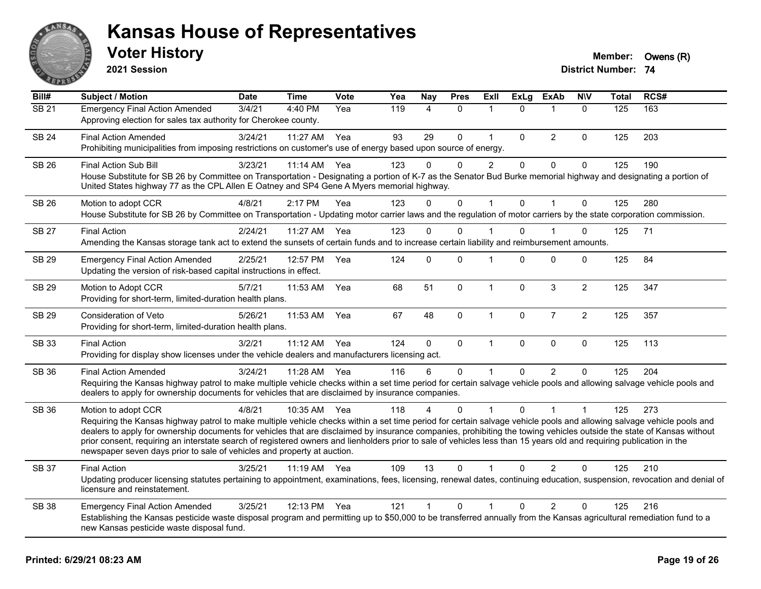

**2021 Session**

| Bill#        | Subject / Motion                                                                                                                                                                                                                                                                                                                                                                                                                                                                                                                                                                                                         | <b>Date</b> | <b>Time</b> | <b>Vote</b> | Yea | <b>Nay</b>     | <b>Pres</b>  | <b>Exll</b>          | <b>ExLg</b>  | <b>ExAb</b>    | <b>N\V</b>     | <b>Total</b> | RCS# |
|--------------|--------------------------------------------------------------------------------------------------------------------------------------------------------------------------------------------------------------------------------------------------------------------------------------------------------------------------------------------------------------------------------------------------------------------------------------------------------------------------------------------------------------------------------------------------------------------------------------------------------------------------|-------------|-------------|-------------|-----|----------------|--------------|----------------------|--------------|----------------|----------------|--------------|------|
| <b>SB 21</b> | <b>Emergency Final Action Amended</b><br>Approving election for sales tax authority for Cherokee county.                                                                                                                                                                                                                                                                                                                                                                                                                                                                                                                 | 3/4/21      | 4:40 PM     | Yea         | 119 | $\overline{4}$ | $\Omega$     | $\mathbf 1$          | $\Omega$     | $\mathbf 1$    | $\mathbf{0}$   | 125          | 163  |
| <b>SB 24</b> | <b>Final Action Amended</b><br>Prohibiting municipalities from imposing restrictions on customer's use of energy based upon source of energy.                                                                                                                                                                                                                                                                                                                                                                                                                                                                            | 3/24/21     | 11:27 AM    | Yea         | 93  | 29             | $\Omega$     | $\mathbf{1}$         | $\Omega$     | 2              | 0              | 125          | 203  |
| SB 26        | <b>Final Action Sub Bill</b><br>House Substitute for SB 26 by Committee on Transportation - Designating a portion of K-7 as the Senator Bud Burke memorial highway and designating a portion of<br>United States highway 77 as the CPL Allen E Oatney and SP4 Gene A Myers memorial highway.                                                                                                                                                                                                                                                                                                                             | 3/23/21     | 11:14 AM    | Yea         | 123 | $\Omega$       | $\Omega$     | $\overline{2}$       | 0            | $\mathbf 0$    | 0              | 125          | 190  |
| SB 26        | Motion to adopt CCR<br>House Substitute for SB 26 by Committee on Transportation - Updating motor carrier laws and the regulation of motor carriers by the state corporation commission.                                                                                                                                                                                                                                                                                                                                                                                                                                 | 4/8/21      | 2:17 PM     | Yea         | 123 | $\Omega$       | $\Omega$     | $\mathbf{1}$         | $\mathbf{0}$ | $\mathbf{1}$   | $\mathbf 0$    | 125          | 280  |
| <b>SB 27</b> | <b>Final Action</b><br>Amending the Kansas storage tank act to extend the sunsets of certain funds and to increase certain liability and reimbursement amounts.                                                                                                                                                                                                                                                                                                                                                                                                                                                          | 2/24/21     | 11:27 AM    | Yea         | 123 | $\Omega$       | $\Omega$     | 1                    | $\Omega$     |                | 0              | 125          | 71   |
| SB 29        | <b>Emergency Final Action Amended</b><br>Updating the version of risk-based capital instructions in effect.                                                                                                                                                                                                                                                                                                                                                                                                                                                                                                              | 2/25/21     | 12:57 PM    | Yea         | 124 | $\Omega$       | $\Omega$     | $\blacktriangleleft$ | $\Omega$     | $\Omega$       | 0              | 125          | 84   |
| <b>SB 29</b> | Motion to Adopt CCR<br>Providing for short-term, limited-duration health plans.                                                                                                                                                                                                                                                                                                                                                                                                                                                                                                                                          | 5/7/21      | 11:53 AM    | Yea         | 68  | 51             | $\mathbf 0$  | $\mathbf{1}$         | $\mathbf 0$  | 3              | $\overline{2}$ | 125          | 347  |
| <b>SB 29</b> | Consideration of Veto<br>Providing for short-term, limited-duration health plans.                                                                                                                                                                                                                                                                                                                                                                                                                                                                                                                                        | 5/26/21     | 11:53 AM    | Yea         | 67  | 48             | $\mathbf{0}$ | $\mathbf{1}$         | 0            | $\overline{7}$ | $\overline{2}$ | 125          | 357  |
| SB 33        | <b>Final Action</b><br>Providing for display show licenses under the vehicle dealers and manufacturers licensing act.                                                                                                                                                                                                                                                                                                                                                                                                                                                                                                    | 3/2/21      | 11:12 AM    | Yea         | 124 | $\mathbf{0}$   | $\mathbf 0$  | $\mathbf{1}$         | $\mathbf{0}$ | $\mathbf 0$    | $\mathbf 0$    | 125          | 113  |
| SB 36        | <b>Final Action Amended</b><br>Requiring the Kansas highway patrol to make multiple vehicle checks within a set time period for certain salvage vehicle pools and allowing salvage vehicle pools and<br>dealers to apply for ownership documents for vehicles that are disclaimed by insurance companies.                                                                                                                                                                                                                                                                                                                | 3/24/21     | 11:28 AM    | Yea         | 116 | 6              | $\mathbf 0$  | $\mathbf 1$          | $\Omega$     | $\overline{2}$ | $\mathbf 0$    | 125          | 204  |
| SB 36        | Motion to adopt CCR<br>Requiring the Kansas highway patrol to make multiple vehicle checks within a set time period for certain salvage vehicle pools and allowing salvage vehicle pools and<br>dealers to apply for ownership documents for vehicles that are disclaimed by insurance companies, prohibiting the towing vehicles outside the state of Kansas without<br>prior consent, requiring an interstate search of registered owners and lienholders prior to sale of vehicles less than 15 years old and requiring publication in the<br>newspaper seven days prior to sale of vehicles and property at auction. | 4/8/21      | 10:35 AM    | Yea         | 118 |                | $\Omega$     |                      | 0            |                |                | 125          | 273  |
| <b>SB 37</b> | <b>Final Action</b><br>Updating producer licensing statutes pertaining to appointment, examinations, fees, licensing, renewal dates, continuing education, suspension, revocation and denial of<br>licensure and reinstatement.                                                                                                                                                                                                                                                                                                                                                                                          | 3/25/21     | 11:19 AM    | Yea         | 109 | 13             | $\Omega$     | 1                    | $\Omega$     | $\overline{2}$ | 0              | 125          | 210  |
| <b>SB 38</b> | <b>Emergency Final Action Amended</b><br>Establishing the Kansas pesticide waste disposal program and permitting up to \$50,000 to be transferred annually from the Kansas agricultural remediation fund to a<br>new Kansas pesticide waste disposal fund.                                                                                                                                                                                                                                                                                                                                                               | 3/25/21     | 12:13 PM    | Yea         | 121 | $\mathbf{1}$   | 0            | 1                    | $\Omega$     | $\overline{2}$ | 0              | 125          | 216  |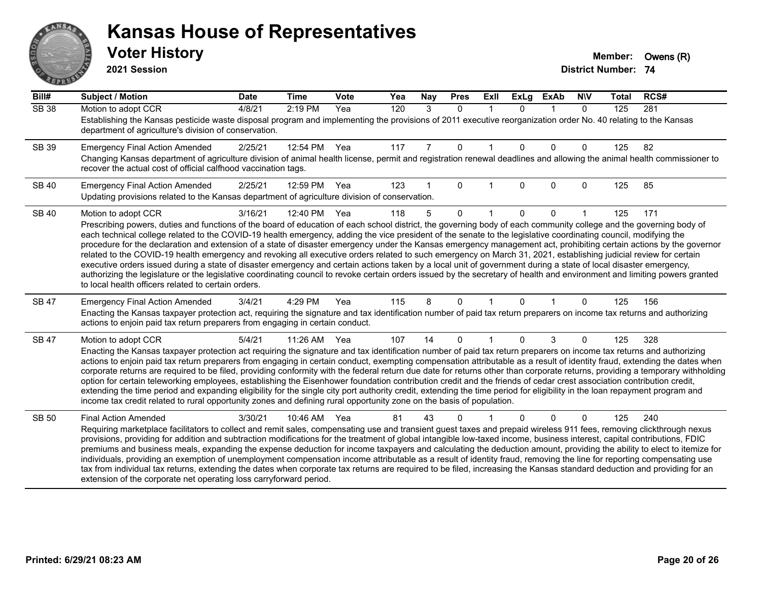# ANS **PARTIE**

#### **Kansas House of Representatives**

**2021 Session**

| Bill#        | <b>Subject / Motion</b>                                                                                                                                                                                                                                                                                                                                    | <b>Date</b> | <b>Time</b> | Vote | Yea | Nay | <b>Pres</b> | ExII        | <b>ExLg</b> | <b>ExAb</b> | <b>NIV</b>   | <b>Total</b> | RCS# |
|--------------|------------------------------------------------------------------------------------------------------------------------------------------------------------------------------------------------------------------------------------------------------------------------------------------------------------------------------------------------------------|-------------|-------------|------|-----|-----|-------------|-------------|-------------|-------------|--------------|--------------|------|
| <b>SB 38</b> | Motion to adopt CCR                                                                                                                                                                                                                                                                                                                                        | 4/8/21      | 2:19 PM     | Yea  | 120 | 3   | $\Omega$    | $\mathbf 1$ | $\Omega$    | $\mathbf 1$ | $\mathbf{0}$ | 125          | 281  |
|              | Establishing the Kansas pesticide waste disposal program and implementing the provisions of 2011 executive reorganization order No. 40 relating to the Kansas<br>department of agriculture's division of conservation.                                                                                                                                     |             |             |      |     |     |             |             |             |             |              |              |      |
| SB 39        | <b>Emergency Final Action Amended</b>                                                                                                                                                                                                                                                                                                                      | 2/25/21     | 12:54 PM    | Yea  | 117 | 7   | 0           |             | $\Omega$    | $\Omega$    | 0            | 125          | 82   |
|              | Changing Kansas department of agriculture division of animal health license, permit and registration renewal deadlines and allowing the animal health commissioner to<br>recover the actual cost of official calfhood vaccination tags.                                                                                                                    |             |             |      |     |     |             |             |             |             |              |              |      |
| <b>SB 40</b> | <b>Emergency Final Action Amended</b>                                                                                                                                                                                                                                                                                                                      | 2/25/21     | 12:59 PM    | Yea  | 123 |     | $\Omega$    |             | $\Omega$    | $\Omega$    | 0            | 125          | 85   |
|              | Updating provisions related to the Kansas department of agriculture division of conservation.                                                                                                                                                                                                                                                              |             |             |      |     |     |             |             |             |             |              |              |      |
| <b>SB 40</b> | Motion to adopt CCR                                                                                                                                                                                                                                                                                                                                        | 3/16/21     | 12:40 PM    | Yea  | 118 | 5   | $\Omega$    |             | $\Omega$    | $\Omega$    |              | 125          | 171  |
|              | Prescribing powers, duties and functions of the board of education of each school district, the governing body of each community college and the governing body of                                                                                                                                                                                         |             |             |      |     |     |             |             |             |             |              |              |      |
|              | each technical college related to the COVID-19 health emergency, adding the vice president of the senate to the legislative coordinating council, modifying the<br>procedure for the declaration and extension of a state of disaster emergency under the Kansas emergency management act, prohibiting certain actions by the governor                     |             |             |      |     |     |             |             |             |             |              |              |      |
|              | related to the COVID-19 health emergency and revoking all executive orders related to such emergency on March 31, 2021, establishing judicial review for certain                                                                                                                                                                                           |             |             |      |     |     |             |             |             |             |              |              |      |
|              | executive orders issued during a state of disaster emergency and certain actions taken by a local unit of government during a state of local disaster emergency,<br>authorizing the legislature or the legislative coordinating council to revoke certain orders issued by the secretary of health and environment and limiting powers granted             |             |             |      |     |     |             |             |             |             |              |              |      |
|              | to local health officers related to certain orders.                                                                                                                                                                                                                                                                                                        |             |             |      |     |     |             |             |             |             |              |              |      |
| <b>SB 47</b> | <b>Emergency Final Action Amended</b>                                                                                                                                                                                                                                                                                                                      | 3/4/21      | 4:29 PM     | Yea  | 115 | 8   | $\Omega$    |             | $\Omega$    |             | 0            | 125          | 156  |
|              | Enacting the Kansas taxpayer protection act, requiring the signature and tax identification number of paid tax return preparers on income tax returns and authorizing<br>actions to enjoin paid tax return preparers from engaging in certain conduct.                                                                                                     |             |             |      |     |     |             |             |             |             |              |              |      |
| SB 47        | Motion to adopt CCR                                                                                                                                                                                                                                                                                                                                        | 5/4/21      | 11:26 AM    | Yea  | 107 | 14  | $\Omega$    |             | $\Omega$    | 3           | 0            | 125          | 328  |
|              | Enacting the Kansas taxpayer protection act requiring the signature and tax identification number of paid tax return preparers on income tax returns and authorizing                                                                                                                                                                                       |             |             |      |     |     |             |             |             |             |              |              |      |
|              | actions to enjoin paid tax return preparers from engaging in certain conduct, exempting compensation attributable as a result of identity fraud, extending the dates when<br>corporate returns are required to be filed, providing conformity with the federal return due date for returns other than corporate returns, providing a temporary withholding |             |             |      |     |     |             |             |             |             |              |              |      |
|              | option for certain teleworking employees, establishing the Eisenhower foundation contribution credit and the friends of cedar crest association contribution credit,                                                                                                                                                                                       |             |             |      |     |     |             |             |             |             |              |              |      |
|              | extending the time period and expanding eligibility for the single city port authority credit, extending the time period for eligibility in the loan repayment program and<br>income tax credit related to rural opportunity zones and defining rural opportunity zone on the basis of population.                                                         |             |             |      |     |     |             |             |             |             |              |              |      |
|              |                                                                                                                                                                                                                                                                                                                                                            |             |             |      |     |     |             |             |             |             |              |              |      |
| <b>SB 50</b> | <b>Final Action Amended</b><br>Requiring marketplace facilitators to collect and remit sales, compensating use and transient guest taxes and prepaid wireless 911 fees, removing clickthrough nexus                                                                                                                                                        | 3/30/21     | 10:46 AM    | Yea  | 81  | 43  | 0           |             |             | $\Omega$    | 0            | 125          | 240  |
|              | provisions, providing for addition and subtraction modifications for the treatment of global intangible low-taxed income, business interest, capital contributions, FDIC                                                                                                                                                                                   |             |             |      |     |     |             |             |             |             |              |              |      |
|              | premiums and business meals, expanding the expense deduction for income taxpayers and calculating the deduction amount, providing the ability to elect to itemize for                                                                                                                                                                                      |             |             |      |     |     |             |             |             |             |              |              |      |
|              | individuals, providing an exemption of unemployment compensation income attributable as a result of identity fraud, removing the line for reporting compensating use<br>tax from individual tax returns, extending the dates when corporate tax returns are required to be filed, increasing the Kansas standard deduction and providing for an            |             |             |      |     |     |             |             |             |             |              |              |      |
|              | extension of the corporate net operating loss carryforward period.                                                                                                                                                                                                                                                                                         |             |             |      |     |     |             |             |             |             |              |              |      |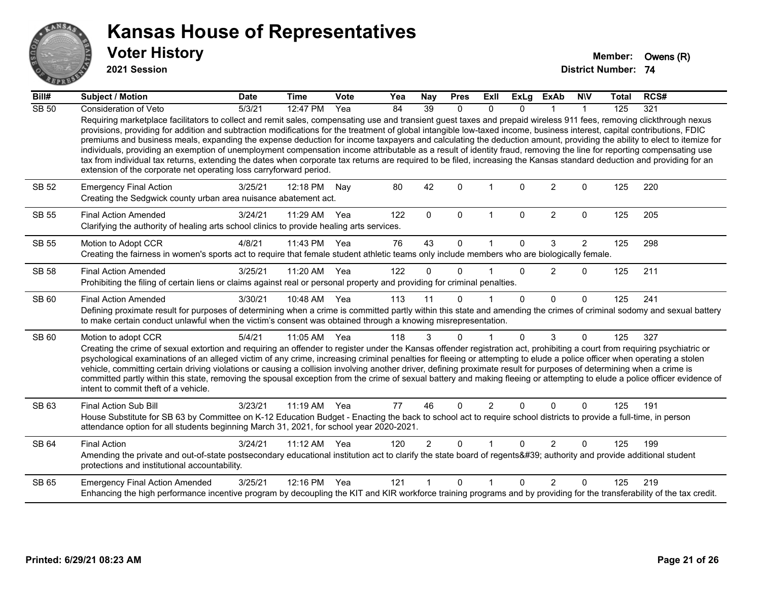

**2021 Session**

| Bill#        | Subject / Motion                                                                                                                                                                                                                                                                                                                                                                                                                                                                                                                                                                                                                                                                                                                                                                                                                                                                                                                                   | <b>Date</b> | <b>Time</b>  | Vote | Yea | Nay            | <b>Pres</b>  | ExII           | <b>ExLg</b>  | <b>ExAb</b>    | <b>NIV</b>     | <b>Total</b> | RCS# |
|--------------|----------------------------------------------------------------------------------------------------------------------------------------------------------------------------------------------------------------------------------------------------------------------------------------------------------------------------------------------------------------------------------------------------------------------------------------------------------------------------------------------------------------------------------------------------------------------------------------------------------------------------------------------------------------------------------------------------------------------------------------------------------------------------------------------------------------------------------------------------------------------------------------------------------------------------------------------------|-------------|--------------|------|-----|----------------|--------------|----------------|--------------|----------------|----------------|--------------|------|
| <b>SB 50</b> | Consideration of Veto                                                                                                                                                                                                                                                                                                                                                                                                                                                                                                                                                                                                                                                                                                                                                                                                                                                                                                                              | 5/3/21      | 12:47 PM     | Yea  | 84  | 39             | $\mathbf{0}$ | $\mathbf{0}$   | 0            |                | -1             | 125          | 321  |
|              | Requiring marketplace facilitators to collect and remit sales, compensating use and transient guest taxes and prepaid wireless 911 fees, removing clickthrough nexus<br>provisions, providing for addition and subtraction modifications for the treatment of global intangible low-taxed income, business interest, capital contributions, FDIC<br>premiums and business meals, expanding the expense deduction for income taxpayers and calculating the deduction amount, providing the ability to elect to itemize for<br>individuals, providing an exemption of unemployment compensation income attributable as a result of identity fraud, removing the line for reporting compensating use<br>tax from individual tax returns, extending the dates when corporate tax returns are required to be filed, increasing the Kansas standard deduction and providing for an<br>extension of the corporate net operating loss carryforward period. |             |              |      |     |                |              |                |              |                |                |              |      |
| SB 52        | <b>Emergency Final Action</b><br>Creating the Sedgwick county urban area nuisance abatement act.                                                                                                                                                                                                                                                                                                                                                                                                                                                                                                                                                                                                                                                                                                                                                                                                                                                   | 3/25/21     | 12:18 PM     | Nay  | 80  | 42             | $\Omega$     | 1              | $\Omega$     | $\overline{c}$ | 0              | 125          | 220  |
| <b>SB 55</b> | <b>Final Action Amended</b><br>Clarifying the authority of healing arts school clinics to provide healing arts services.                                                                                                                                                                                                                                                                                                                                                                                                                                                                                                                                                                                                                                                                                                                                                                                                                           | 3/24/21     | 11:29 AM     | Yea  | 122 | $\mathbf{0}$   | $\Omega$     | $\mathbf{1}$   | $\mathbf{0}$ | $\overline{2}$ | $\mathbf{0}$   | 125          | 205  |
| <b>SB 55</b> | Motion to Adopt CCR                                                                                                                                                                                                                                                                                                                                                                                                                                                                                                                                                                                                                                                                                                                                                                                                                                                                                                                                | 4/8/21      | 11:43 PM     | Yea  | 76  | 43             | $\Omega$     | 1              | 0            | 3              | $\overline{2}$ | 125          | 298  |
|              | Creating the fairness in women's sports act to require that female student athletic teams only include members who are biologically female.                                                                                                                                                                                                                                                                                                                                                                                                                                                                                                                                                                                                                                                                                                                                                                                                        |             |              |      |     |                |              |                |              |                |                |              |      |
| <b>SB 58</b> | <b>Final Action Amended</b><br>Prohibiting the filing of certain liens or claims against real or personal property and providing for criminal penalties.                                                                                                                                                                                                                                                                                                                                                                                                                                                                                                                                                                                                                                                                                                                                                                                           | 3/25/21     | 11:20 AM     | Yea  | 122 | $\Omega$       | $\Omega$     | 1              | $\Omega$     | 2              | $\mathbf{0}$   | 125          | 211  |
| SB 60        | <b>Final Action Amended</b><br>Defining proximate result for purposes of determining when a crime is committed partly within this state and amending the crimes of criminal sodomy and sexual battery<br>to make certain conduct unlawful when the victim's consent was obtained through a knowing misrepresentation.                                                                                                                                                                                                                                                                                                                                                                                                                                                                                                                                                                                                                              | 3/30/21     | 10:48 AM     | Yea  | 113 | 11             | $\Omega$     |                | $\Omega$     | $\Omega$       | $\mathbf{0}$   | 125          | 241  |
| SB 60        | Motion to adopt CCR<br>Creating the crime of sexual extortion and requiring an offender to register under the Kansas offender registration act, prohibiting a court from requiring psychiatric or<br>psychological examinations of an alleged victim of any crime, increasing criminal penalties for fleeing or attempting to elude a police officer when operating a stolen<br>vehicle, committing certain driving violations or causing a collision involving another driver, defining proximate result for purposes of determining when a crime is<br>committed partly within this state, removing the spousal exception from the crime of sexual battery and making fleeing or attempting to elude a police officer evidence of<br>intent to commit theft of a vehicle.                                                                                                                                                                        | 5/4/21      | 11:05 AM Yea |      | 118 | 3              | $\Omega$     | 1              | 0            | 3              | $\mathbf{0}$   | 125          | 327  |
| SB 63        | Final Action Sub Bill<br>House Substitute for SB 63 by Committee on K-12 Education Budget - Enacting the back to school act to require school districts to provide a full-time, in person<br>attendance option for all students beginning March 31, 2021, for school year 2020-2021.                                                                                                                                                                                                                                                                                                                                                                                                                                                                                                                                                                                                                                                               | 3/23/21     | $11:19$ AM   | Yea  | 77  | 46             | $\Omega$     | $\overline{2}$ | $\Omega$     | $\Omega$       | $\Omega$       | 125          | 191  |
| SB 64        | <b>Final Action</b><br>Amending the private and out-of-state postsecondary educational institution act to clarify the state board of regents' authority and provide additional student<br>protections and institutional accountability.                                                                                                                                                                                                                                                                                                                                                                                                                                                                                                                                                                                                                                                                                                            | 3/24/21     | 11:12 AM     | Yea  | 120 | $\overline{2}$ | 0            | 1              | $\Omega$     | $\overline{2}$ | $\Omega$       | 125          | 199  |
| SB 65        | <b>Emergency Final Action Amended</b><br>Enhancing the high performance incentive program by decoupling the KIT and KIR workforce training programs and by providing for the transferability of the tax credit.                                                                                                                                                                                                                                                                                                                                                                                                                                                                                                                                                                                                                                                                                                                                    | 3/25/21     | 12:16 PM     | Yea  | 121 |                | $\Omega$     | 1              | $\Omega$     | $\mathcal{P}$  | $\Omega$       | 125          | 219  |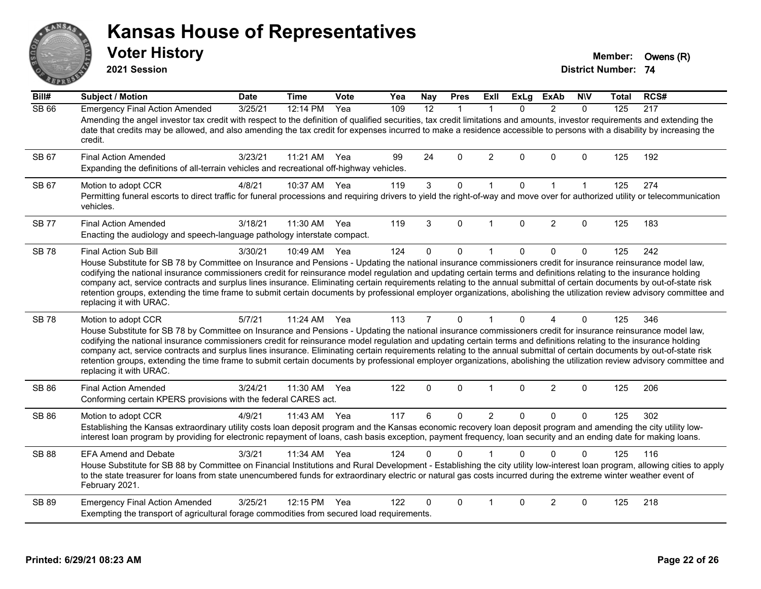# ANS Erry

#### **Kansas House of Representatives**

**2021 Session**

**Voter History Member: Owens (R)** 

| Bill#        | <b>Subject / Motion</b>                                                                                                                                                                                                                                                                                                                                                                                                                                                                                                                                                                                                                                                                                                                        | <b>Date</b> | <b>Time</b> | Vote | Yea | Nay            | <b>Pres</b> | ExII           | <b>ExLg</b>  | <b>ExAb</b>    | <b>NIV</b>   | Total | RCS# |
|--------------|------------------------------------------------------------------------------------------------------------------------------------------------------------------------------------------------------------------------------------------------------------------------------------------------------------------------------------------------------------------------------------------------------------------------------------------------------------------------------------------------------------------------------------------------------------------------------------------------------------------------------------------------------------------------------------------------------------------------------------------------|-------------|-------------|------|-----|----------------|-------------|----------------|--------------|----------------|--------------|-------|------|
| <b>SB 66</b> | <b>Emergency Final Action Amended</b><br>Amending the angel investor tax credit with respect to the definition of qualified securities, tax credit limitations and amounts, investor requirements and extending the<br>date that credits may be allowed, and also amending the tax credit for expenses incurred to make a residence accessible to persons with a disability by increasing the<br>credit.                                                                                                                                                                                                                                                                                                                                       | 3/25/21     | 12:14 PM    | Yea  | 109 | 12             | $\mathbf 1$ | 1              | $\Omega$     | $\overline{2}$ | $\Omega$     | 125   | 217  |
| SB 67        | <b>Final Action Amended</b><br>Expanding the definitions of all-terrain vehicles and recreational off-highway vehicles.                                                                                                                                                                                                                                                                                                                                                                                                                                                                                                                                                                                                                        | 3/23/21     | 11:21 AM    | Yea  | 99  | 24             | $\Omega$    | 2              | $\Omega$     | $\Omega$       | $\mathbf{0}$ | 125   | 192  |
| SB 67        | Motion to adopt CCR<br>Permitting funeral escorts to direct traffic for funeral processions and requiring drivers to yield the right-of-way and move over for authorized utility or telecommunication<br>vehicles.                                                                                                                                                                                                                                                                                                                                                                                                                                                                                                                             | 4/8/21      | 10:37 AM    | Yea  | 119 | $\mathbf{3}$   | $\mathbf 0$ | $\mathbf{1}$   | $\mathbf 0$  | $\mathbf{1}$   | $\mathbf{1}$ | 125   | 274  |
| <b>SB77</b>  | <b>Final Action Amended</b><br>Enacting the audiology and speech-language pathology interstate compact.                                                                                                                                                                                                                                                                                                                                                                                                                                                                                                                                                                                                                                        | 3/18/21     | 11:30 AM    | Yea  | 119 | 3              | $\Omega$    |                | $\Omega$     | 2              | $\Omega$     | 125   | 183  |
| <b>SB78</b>  | Final Action Sub Bill<br>House Substitute for SB 78 by Committee on Insurance and Pensions - Updating the national insurance commissioners credit for insurance reinsurance model law,<br>codifying the national insurance commissioners credit for reinsurance model regulation and updating certain terms and definitions relating to the insurance holding<br>company act, service contracts and surplus lines insurance. Eliminating certain requirements relating to the annual submittal of certain documents by out-of-state risk<br>retention groups, extending the time frame to submit certain documents by professional employer organizations, abolishing the utilization review advisory committee and<br>replacing it with URAC. | 3/30/21     | 10:49 AM    | Yea  | 124 | 0              | $\mathbf 0$ | -1             | 0            | $\mathbf 0$    | $\mathbf 0$  | 125   | 242  |
| <b>SB78</b>  | Motion to adopt CCR<br>House Substitute for SB 78 by Committee on Insurance and Pensions - Updating the national insurance commissioners credit for insurance reinsurance model law,<br>codifying the national insurance commissioners credit for reinsurance model regulation and updating certain terms and definitions relating to the insurance holding<br>company act, service contracts and surplus lines insurance. Eliminating certain requirements relating to the annual submittal of certain documents by out-of-state risk<br>retention groups, extending the time frame to submit certain documents by professional employer organizations, abolishing the utilization review advisory committee and<br>replacing it with URAC.   | 5/7/21      | 11:24 AM    | Yea  | 113 | $\overline{7}$ | $\mathbf 0$ | $\mathbf{1}$   | $\Omega$     | 4              | $\mathbf 0$  | 125   | 346  |
| SB 86        | <b>Final Action Amended</b><br>Conforming certain KPERS provisions with the federal CARES act.                                                                                                                                                                                                                                                                                                                                                                                                                                                                                                                                                                                                                                                 | 3/24/21     | 11:30 AM    | Yea  | 122 | $\mathbf 0$    | 0           | 1              | 0            | $\overline{c}$ | $\mathbf 0$  | 125   | 206  |
| <b>SB 86</b> | Motion to adopt CCR<br>Establishing the Kansas extraordinary utility costs loan deposit program and the Kansas economic recovery loan deposit program and amending the city utility low-<br>interest loan program by providing for electronic repayment of loans, cash basis exception, payment frequency, loan security and an ending date for making loans.                                                                                                                                                                                                                                                                                                                                                                                  | 4/9/21      | 11:43 AM    | Yea  | 117 | 6              | 0           | $\overline{2}$ | $\mathbf{0}$ | $\mathbf{0}$   | $\mathbf{0}$ | 125   | 302  |
| <b>SB 88</b> | <b>EFA Amend and Debate</b><br>House Substitute for SB 88 by Committee on Financial Institutions and Rural Development - Establishing the city utility low-interest loan program, allowing cities to apply<br>to the state treasurer for loans from state unencumbered funds for extraordinary electric or natural gas costs incurred during the extreme winter weather event of<br>February 2021.                                                                                                                                                                                                                                                                                                                                             | 3/3/21      | 11:34 AM    | Yea  | 124 | 0              | $\Omega$    |                | 0            | $\Omega$       | $\Omega$     | 125   | 116  |
| SB 89        | <b>Emergency Final Action Amended</b><br>Exempting the transport of agricultural forage commodities from secured load requirements.                                                                                                                                                                                                                                                                                                                                                                                                                                                                                                                                                                                                            | 3/25/21     | 12:15 PM    | Yea  | 122 | 0              | $\Omega$    |                | $\Omega$     | $\overline{2}$ | $\Omega$     | 125   | 218  |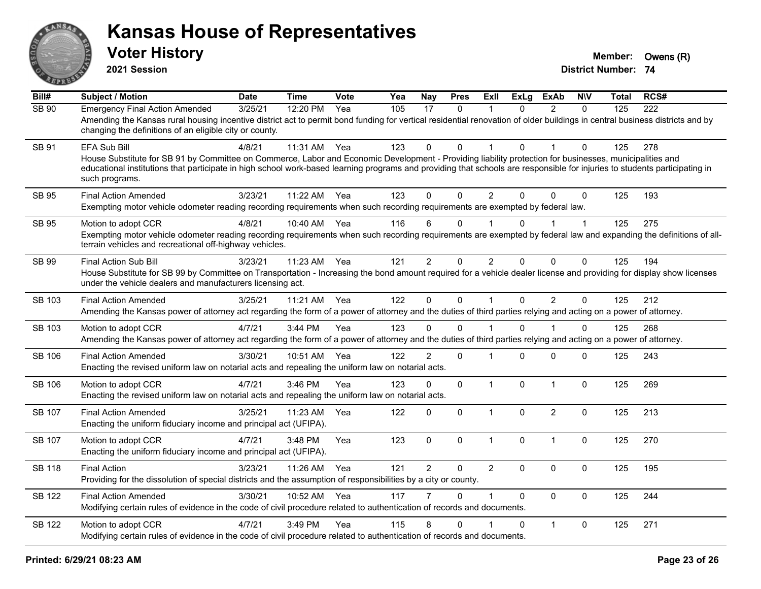

**2021 Session**

| Bill#         | <b>Subject / Motion</b>                                                                                                                                                                                                                                                                                                                                                 | <b>Date</b> | <b>Time</b> | Vote | Yea | Nay            | <b>Pres</b>  | <b>ExII</b>    | <b>ExLg</b>  | <b>ExAb</b>    | <b>NIV</b>   | Total | RCS# |
|---------------|-------------------------------------------------------------------------------------------------------------------------------------------------------------------------------------------------------------------------------------------------------------------------------------------------------------------------------------------------------------------------|-------------|-------------|------|-----|----------------|--------------|----------------|--------------|----------------|--------------|-------|------|
| <b>SB 90</b>  | <b>Emergency Final Action Amended</b><br>Amending the Kansas rural housing incentive district act to permit bond funding for vertical residential renovation of older buildings in central business districts and by<br>changing the definitions of an eligible city or county.                                                                                         | 3/25/21     | 12:20 PM    | Yea  | 105 | 17             | $\mathbf{0}$ | 1              | $\Omega$     | 2              | $\mathbf{0}$ | 125   | 222  |
| SB 91         | EFA Sub Bill<br>House Substitute for SB 91 by Committee on Commerce, Labor and Economic Development - Providing liability protection for businesses, municipalities and<br>educational institutions that participate in high school work-based learning programs and providing that schools are responsible for injuries to students participating in<br>such programs. | 4/8/21      | 11:31 AM    | Yea  | 123 | $\mathbf 0$    | $\Omega$     | 1              | $\Omega$     |                | $\Omega$     | 125   | 278  |
| <b>SB 95</b>  | <b>Final Action Amended</b><br>Exempting motor vehicle odometer reading recording requirements when such recording requirements are exempted by federal law.                                                                                                                                                                                                            | 3/23/21     | 11:22 AM    | Yea  | 123 | $\Omega$       | $\Omega$     | $\overline{2}$ | $\Omega$     | $\Omega$       | $\Omega$     | 125   | 193  |
| SB 95         | Motion to adopt CCR<br>Exempting motor vehicle odometer reading recording requirements when such recording requirements are exempted by federal law and expanding the definitions of all-<br>terrain vehicles and recreational off-highway vehicles.                                                                                                                    | 4/8/21      | 10:40 AM    | Yea  | 116 | 6              | $\mathbf 0$  |                | 0            |                | 1            | 125   | 275  |
| SB 99         | <b>Final Action Sub Bill</b><br>House Substitute for SB 99 by Committee on Transportation - Increasing the bond amount required for a vehicle dealer license and providing for display show licenses<br>under the vehicle dealers and manufacturers licensing act.                                                                                                      | 3/23/21     | 11:23 AM    | Yea  | 121 | $\overline{2}$ | $\Omega$     | $\overline{2}$ | $\Omega$     | $\mathbf{0}$   | 0            | 125   | 194  |
| SB 103        | <b>Final Action Amended</b><br>Amending the Kansas power of attorney act regarding the form of a power of attorney and the duties of third parties relying and acting on a power of attorney.                                                                                                                                                                           | 3/25/21     | 11:21 AM    | Yea  | 122 | $\Omega$       | $\mathbf 0$  | $\mathbf{1}$   | $\Omega$     | 2              | $\Omega$     | 125   | 212  |
| SB 103        | Motion to adopt CCR<br>Amending the Kansas power of attorney act regarding the form of a power of attorney and the duties of third parties relying and acting on a power of attorney.                                                                                                                                                                                   | 4/7/21      | 3:44 PM     | Yea  | 123 | $\Omega$       | $\Omega$     |                | $\Omega$     |                | $\Omega$     | 125   | 268  |
| <b>SB 106</b> | <b>Final Action Amended</b><br>Enacting the revised uniform law on notarial acts and repealing the uniform law on notarial acts.                                                                                                                                                                                                                                        | 3/30/21     | 10:51 AM    | Yea  | 122 | $\overline{2}$ | $\mathbf 0$  | 1              | $\Omega$     | $\mathbf 0$    | 0            | 125   | 243  |
| <b>SB 106</b> | Motion to adopt CCR<br>Enacting the revised uniform law on notarial acts and repealing the uniform law on notarial acts.                                                                                                                                                                                                                                                | 4/7/21      | 3:46 PM     | Yea  | 123 | $\mathbf 0$    | $\Omega$     | $\mathbf{1}$   | $\mathbf{0}$ | $\overline{1}$ | $\mathbf 0$  | 125   | 269  |
| SB 107        | <b>Final Action Amended</b><br>Enacting the uniform fiduciary income and principal act (UFIPA).                                                                                                                                                                                                                                                                         | 3/25/21     | 11:23 AM    | Yea  | 122 | $\mathbf 0$    | 0            | $\mathbf{1}$   | $\Omega$     | $\overline{2}$ | $\mathbf 0$  | 125   | 213  |
| <b>SB 107</b> | Motion to adopt CCR<br>Enacting the uniform fiduciary income and principal act (UFIPA).                                                                                                                                                                                                                                                                                 | 4/7/21      | 3:48 PM     | Yea  | 123 | $\mathbf 0$    | $\mathbf 0$  | $\mathbf{1}$   | 0            | $\overline{1}$ | $\mathbf 0$  | 125   | 270  |
| <b>SB 118</b> | <b>Final Action</b><br>Providing for the dissolution of special districts and the assumption of responsibilities by a city or county.                                                                                                                                                                                                                                   | 3/23/21     | 11:26 AM    | Yea  | 121 | $\overline{2}$ | 0            | $\overline{2}$ | $\Omega$     | $\mathbf 0$    | $\mathbf 0$  | 125   | 195  |
| <b>SB 122</b> | <b>Final Action Amended</b><br>Modifying certain rules of evidence in the code of civil procedure related to authentication of records and documents.                                                                                                                                                                                                                   | 3/30/21     | 10:52 AM    | Yea  | 117 |                | $\Omega$     | 1              | $\Omega$     | $\Omega$       | $\mathbf 0$  | 125   | 244  |
| <b>SB 122</b> | Motion to adopt CCR<br>Modifying certain rules of evidence in the code of civil procedure related to authentication of records and documents.                                                                                                                                                                                                                           | 4/7/21      | 3:49 PM     | Yea  | 115 | 8              | $\Omega$     |                | $\Omega$     | $\mathbf{1}$   | $\mathbf 0$  | 125   | 271  |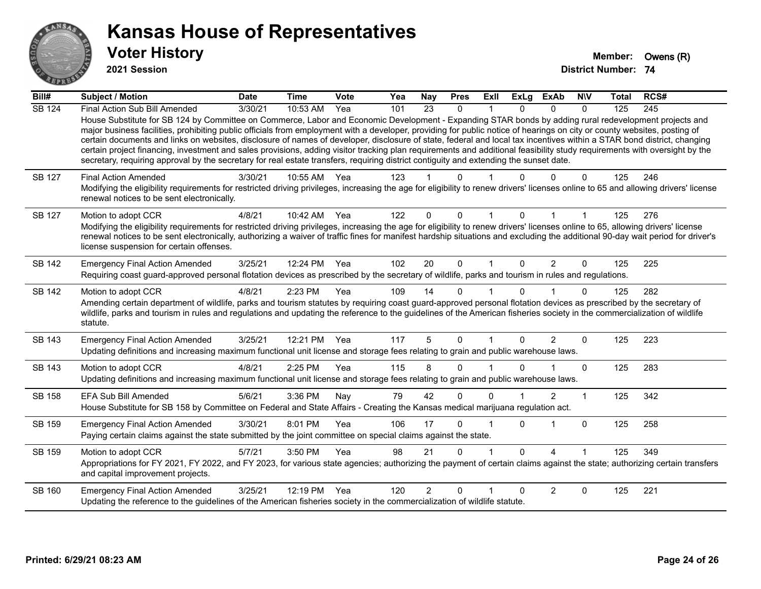

**2021 Session**

| Bill#         | Subject / Motion                                                                                                                                                                                                                                                                                                                                                                                                                                                                                                                                                                                                                                                                                                                                                                                                                                                     | <b>Date</b> | <b>Time</b>  | Vote | Yea | <b>Nay</b>     | <b>Pres</b>  | ExII | <b>ExLg</b> | <b>ExAb</b>    | <b>NIV</b>   | <b>Total</b> | RCS#             |
|---------------|----------------------------------------------------------------------------------------------------------------------------------------------------------------------------------------------------------------------------------------------------------------------------------------------------------------------------------------------------------------------------------------------------------------------------------------------------------------------------------------------------------------------------------------------------------------------------------------------------------------------------------------------------------------------------------------------------------------------------------------------------------------------------------------------------------------------------------------------------------------------|-------------|--------------|------|-----|----------------|--------------|------|-------------|----------------|--------------|--------------|------------------|
| <b>SB 124</b> | Final Action Sub Bill Amended<br>House Substitute for SB 124 by Committee on Commerce, Labor and Economic Development - Expanding STAR bonds by adding rural redevelopment projects and<br>major business facilities, prohibiting public officials from employment with a developer, providing for public notice of hearings on city or county websites, posting of<br>certain documents and links on websites, disclosure of names of developer, disclosure of state, federal and local tax incentives within a STAR bond district, changing<br>certain project financing, investment and sales provisions, adding visitor tracking plan requirements and additional feasibility study requirements with oversight by the<br>secretary, requiring approval by the secretary for real estate transfers, requiring district contiguity and extending the sunset date. | 3/30/21     | 10:53 AM     | Yea  | 101 | 23             | 0            |      | 0           | $\Omega$       | $\Omega$     | 125          | $\overline{245}$ |
| SB 127        | <b>Final Action Amended</b><br>Modifying the eligibility requirements for restricted driving privileges, increasing the age for eligibility to renew drivers' licenses online to 65 and allowing drivers' license<br>renewal notices to be sent electronically.                                                                                                                                                                                                                                                                                                                                                                                                                                                                                                                                                                                                      | 3/30/21     | 10:55 AM     | Yea  | 123 |                | U            |      |             |                | 0            | 125          | 246              |
| <b>SB 127</b> | Motion to adopt CCR<br>Modifying the eligibility requirements for restricted driving privileges, increasing the age for eligibility to renew drivers' licenses online to 65, allowing drivers' license<br>renewal notices to be sent electronically, authorizing a waiver of traffic fines for manifest hardship situations and excluding the additional 90-day wait period for driver's<br>license suspension for certain offenses.                                                                                                                                                                                                                                                                                                                                                                                                                                 | 4/8/21      | 10:42 AM     | Yea  | 122 | $\Omega$       | $\Omega$     |      | 0           |                |              | 125          | 276              |
| SB 142        | <b>Emergency Final Action Amended</b><br>Requiring coast guard-approved personal flotation devices as prescribed by the secretary of wildlife, parks and tourism in rules and regulations.                                                                                                                                                                                                                                                                                                                                                                                                                                                                                                                                                                                                                                                                           | 3/25/21     | 12:24 PM     | Yea  | 102 | 20             | $\mathbf 0$  | 1    | $\Omega$    | $\overline{2}$ | $\mathbf{0}$ | 125          | 225              |
| <b>SB 142</b> | Motion to adopt CCR<br>Amending certain department of wildlife, parks and tourism statutes by requiring coast guard-approved personal flotation devices as prescribed by the secretary of<br>wildlife, parks and tourism in rules and regulations and updating the reference to the guidelines of the American fisheries society in the commercialization of wildlife<br>statute.                                                                                                                                                                                                                                                                                                                                                                                                                                                                                    | 4/8/21      | 2:23 PM      | Yea  | 109 | 14             | $\Omega$     |      | 0           |                | $\Omega$     | 125          | 282              |
| SB 143        | <b>Emergency Final Action Amended</b><br>Updating definitions and increasing maximum functional unit license and storage fees relating to grain and public warehouse laws.                                                                                                                                                                                                                                                                                                                                                                                                                                                                                                                                                                                                                                                                                           | 3/25/21     | 12:21 PM Yea |      | 117 | 5              | $\Omega$     |      | $\Omega$    | $\overline{2}$ | $\Omega$     | 125          | 223              |
| SB 143        | Motion to adopt CCR<br>Updating definitions and increasing maximum functional unit license and storage fees relating to grain and public warehouse laws.                                                                                                                                                                                                                                                                                                                                                                                                                                                                                                                                                                                                                                                                                                             | 4/8/21      | 2:25 PM      | Yea  | 115 | 8              | 0            |      |             |                | $\Omega$     | 125          | 283              |
| SB 158        | <b>EFA Sub Bill Amended</b><br>House Substitute for SB 158 by Committee on Federal and State Affairs - Creating the Kansas medical marijuana regulation act.                                                                                                                                                                                                                                                                                                                                                                                                                                                                                                                                                                                                                                                                                                         | 5/6/21      | 3:36 PM      | Nay  | 79  | 42             | $\Omega$     | ∩    |             | 2              | 1            | 125          | 342              |
| SB 159        | <b>Emergency Final Action Amended</b><br>Paying certain claims against the state submitted by the joint committee on special claims against the state.                                                                                                                                                                                                                                                                                                                                                                                                                                                                                                                                                                                                                                                                                                               | 3/30/21     | 8:01 PM      | Yea  | 106 | 17             | $\Omega$     |      | 0           |                | $\mathbf{0}$ | 125          | 258              |
| SB 159        | Motion to adopt CCR<br>Appropriations for FY 2021, FY 2022, and FY 2023, for various state agencies; authorizing the payment of certain claims against the state; authorizing certain transfers<br>and capital improvement projects.                                                                                                                                                                                                                                                                                                                                                                                                                                                                                                                                                                                                                                 | 5/7/21      | 3:50 PM      | Yea  | 98  | 21             | $\mathbf{0}$ |      | $\Omega$    | $\Lambda$      |              | 125          | 349              |
| SB 160        | <b>Emergency Final Action Amended</b><br>Updating the reference to the guidelines of the American fisheries society in the commercialization of wildlife statute.                                                                                                                                                                                                                                                                                                                                                                                                                                                                                                                                                                                                                                                                                                    | 3/25/21     | 12:19 PM     | Yea  | 120 | $\overline{2}$ | $\Omega$     |      | U           | 2              | 0            | 125          | 221              |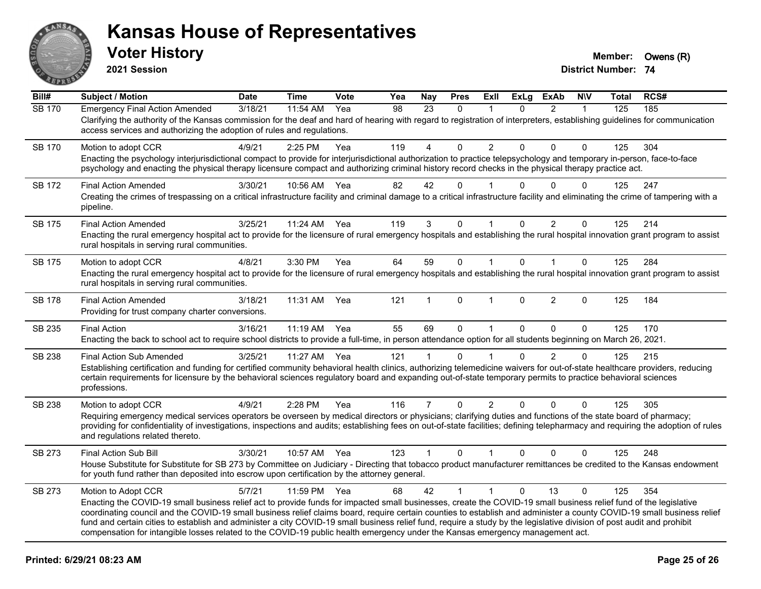

**2021 Session**

| Bill#         | <b>Subject / Motion</b>                                                                                                                                                                                                                                                                                                                                                                                                                                                                                                                                                                                                                                                       | <b>Date</b> | <b>Time</b> | Vote | Yea | <b>Nay</b>     | <b>Pres</b>  | ExII                 | <b>ExLg</b>  | <b>ExAb</b>    | <b>NIV</b>   | <b>Total</b> | RCS# |
|---------------|-------------------------------------------------------------------------------------------------------------------------------------------------------------------------------------------------------------------------------------------------------------------------------------------------------------------------------------------------------------------------------------------------------------------------------------------------------------------------------------------------------------------------------------------------------------------------------------------------------------------------------------------------------------------------------|-------------|-------------|------|-----|----------------|--------------|----------------------|--------------|----------------|--------------|--------------|------|
| <b>SB 170</b> | <b>Emergency Final Action Amended</b><br>Clarifying the authority of the Kansas commission for the deaf and hard of hearing with regard to registration of interpreters, establishing guidelines for communication<br>access services and authorizing the adoption of rules and regulations.                                                                                                                                                                                                                                                                                                                                                                                  | 3/18/21     | 11:54 AM    | Yea  | 98  | 23             | $\mathbf{0}$ | 1                    | $\Omega$     | $\overline{2}$ | $\mathbf{1}$ | 125          | 185  |
| <b>SB 170</b> | Motion to adopt CCR<br>Enacting the psychology interjurisdictional compact to provide for interjurisdictional authorization to practice telepsychology and temporary in-person, face-to-face<br>psychology and enacting the physical therapy licensure compact and authorizing criminal history record checks in the physical therapy practice act.                                                                                                                                                                                                                                                                                                                           | 4/9/21      | 2:25 PM     | Yea  | 119 | 4              | 0            | $\overline{2}$       | 0            | 0              | $\mathbf 0$  | 125          | 304  |
| SB 172        | <b>Final Action Amended</b><br>Creating the crimes of trespassing on a critical infrastructure facility and criminal damage to a critical infrastructure facility and eliminating the crime of tampering with a<br>pipeline.                                                                                                                                                                                                                                                                                                                                                                                                                                                  | 3/30/21     | 10:56 AM    | Yea  | 82  | 42             | $\Omega$     |                      | 0            | $\Omega$       | $\Omega$     | 125          | 247  |
| SB 175        | <b>Final Action Amended</b><br>Enacting the rural emergency hospital act to provide for the licensure of rural emergency hospitals and establishing the rural hospital innovation grant program to assist<br>rural hospitals in serving rural communities.                                                                                                                                                                                                                                                                                                                                                                                                                    | 3/25/21     | 11:24 AM    | Yea  | 119 | 3              | 0            | 1                    | 0            | 2              | $\mathbf 0$  | 125          | 214  |
| <b>SB 175</b> | Motion to adopt CCR<br>Enacting the rural emergency hospital act to provide for the licensure of rural emergency hospitals and establishing the rural hospital innovation grant program to assist<br>rural hospitals in serving rural communities.                                                                                                                                                                                                                                                                                                                                                                                                                            | 4/8/21      | 3:30 PM     | Yea  | 64  | 59             | $\mathbf 0$  | $\mathbf{1}$         | $\mathbf{0}$ | $\mathbf{1}$   | $\mathbf 0$  | 125          | 284  |
| SB 178        | <b>Final Action Amended</b><br>Providing for trust company charter conversions.                                                                                                                                                                                                                                                                                                                                                                                                                                                                                                                                                                                               | 3/18/21     | 11:31 AM    | Yea  | 121 | 1              | $\mathbf{0}$ | $\blacktriangleleft$ | $\Omega$     | $\overline{2}$ | $\Omega$     | 125          | 184  |
| SB 235        | <b>Final Action</b><br>Enacting the back to school act to require school districts to provide a full-time, in person attendance option for all students beginning on March 26, 2021.                                                                                                                                                                                                                                                                                                                                                                                                                                                                                          | 3/16/21     | $11:19$ AM  | Yea  | 55  | 69             | $\Omega$     | $\mathbf{1}$         | $\Omega$     | $\Omega$       | $\Omega$     | 125          | 170  |
| SB 238        | <b>Final Action Sub Amended</b><br>Establishing certification and funding for certified community behavioral health clinics, authorizing telemedicine waivers for out-of-state healthcare providers, reducing<br>certain requirements for licensure by the behavioral sciences regulatory board and expanding out-of-state temporary permits to practice behavioral sciences<br>professions.                                                                                                                                                                                                                                                                                  | 3/25/21     | 11:27 AM    | Yea  | 121 | 1              | $\Omega$     |                      | $\Omega$     | $\overline{2}$ | $\mathbf 0$  | 125          | 215  |
| SB 238        | Motion to adopt CCR<br>Requiring emergency medical services operators be overseen by medical directors or physicians; clarifying duties and functions of the state board of pharmacy;<br>providing for confidentiality of investigations, inspections and audits; establishing fees on out-of-state facilities; defining telepharmacy and requiring the adoption of rules<br>and regulations related thereto.                                                                                                                                                                                                                                                                 | 4/9/21      | 2:28 PM     | Yea  | 116 | $\overline{7}$ | $\mathbf 0$  | $\overline{2}$       | $\Omega$     | $\Omega$       | 0            | 125          | 305  |
| SB 273        | Final Action Sub Bill<br>House Substitute for Substitute for SB 273 by Committee on Judiciary - Directing that tobacco product manufacturer remittances be credited to the Kansas endowment<br>for youth fund rather than deposited into escrow upon certification by the attorney general.                                                                                                                                                                                                                                                                                                                                                                                   | 3/30/21     | 10:57 AM    | Yea  | 123 | $\mathbf{1}$   | $\mathbf{0}$ | $\mathbf{1}$         | $\mathbf{0}$ | $\Omega$       | $\Omega$     | 125          | 248  |
| SB 273        | Motion to Adopt CCR<br>Enacting the COVID-19 small business relief act to provide funds for impacted small businesses, create the COVID-19 small business relief fund of the legislative<br>coordinating council and the COVID-19 small business relief claims board, require certain counties to establish and administer a county COVID-19 small business relief<br>fund and certain cities to establish and administer a city COVID-19 small business relief fund, require a study by the legislative division of post audit and prohibit<br>compensation for intangible losses related to the COVID-19 public health emergency under the Kansas emergency management act. | 5/7/21      | 11:59 PM    | Yea  | 68  | 42             | $\mathbf{1}$ | $\mathbf{1}$         | $\Omega$     | 13             | $\Omega$     | 125          | 354  |